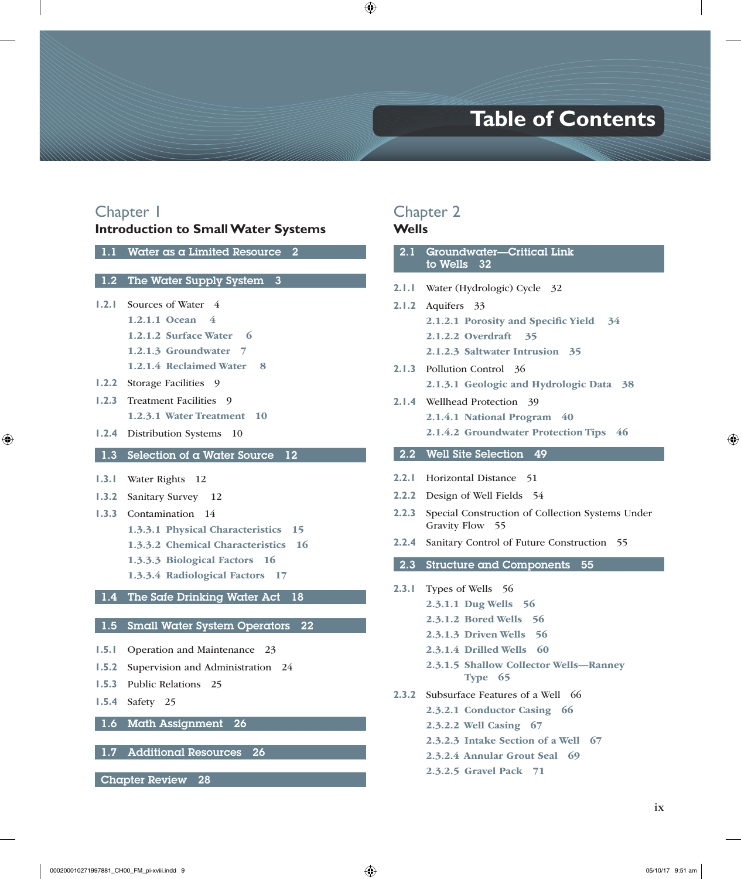# **Table of Contents**

# Chapter 1

#### **Introduction to Small Water Systems**

1.1 Water as a Limited Resource 2

#### 1.2 The Water Supply System 3

- **1.2.1** Sources of Water 4
	- 1.2.1.1 Ocean 4
		- 1.2.1.2 Surface Water 6
		- 1.2.1.3 Groundwater 7
		- 1.2.1.4 Reclaimed Water 8
- **1.2.2** Storage Facilities 9
- **1.2.3** Treatment Facilities 9 1.2.3.1 Water Treatment 10
- **1.2.4** Distribution Systems 10

#### 1.3 Selection of a Water Source 12

- **1.3.1** Water Rights 12
- **1.3.2** Sanitary Survey 12
- **1.3.3** Contamination 14
	- 1.3.3.1 Physical Characteristics 15
	- 1.3.3.2 Chemical Characteristics 16
	- 1.3.3.3 Biological Factors 16
	- 1.3.3.4 Radiological Factors 17

### 1.4 The Safe Drinking Water Act 18

#### 1.5 Small Water System Operators 22

- **1.5.1** Operation and Maintenance 23
- **1.5.2** Supervision and Administration 24
- **1.5.3** Public Relations 25
- **1.5.4** Safety 25
- 1.6 Math Assignment 26

### 1.7 Additional Resources 26

Chapter Review 28

# Chapter 2

### **Wells**

L

| 2.1                       | Groundwater-Critical Link<br>to Wells 32              |
|---------------------------|-------------------------------------------------------|
| 2.1.1                     | Water (Hydrologic) Cycle 32                           |
| 2.1.2                     | Aquifers<br>33                                        |
|                           | 2.1.2.1 Porosity and Specific Yield<br>$-34$          |
|                           | 2.1.2.2 Overdraft<br>35                               |
|                           | 2.1.2.3 Saltwater Intrusion 35                        |
| 2.1.3                     | Pollution Control 36                                  |
|                           | 2.1.3.1 Geologic and Hydrologic Data<br>38            |
| 2. I .4                   | Wellhead Protection<br>39                             |
|                           | 2.1.4.1 National Program 40                           |
|                           | 2.1.4.2 Groundwater Protection Tips 46                |
| 2.2                       | <b>Well Site Selection</b><br>49                      |
|                           |                                                       |
| 2.2.1                     | <b>Horizontal Distance</b><br>-51                     |
| 2.2.2                     | Design of Well Fields 54                              |
| 2.2.3                     | Special Construction of Collection Systems Under      |
|                           | Gravity Flow 55                                       |
|                           | Sanitary Control of Future Construction<br>-55        |
| 2.2.4<br>$2.\overline{3}$ | <b>Structure and Components</b><br>55                 |
|                           |                                                       |
| 2.3.1                     | Types of Wells<br>- 56                                |
|                           | 2.3.1.1 Dug Wells<br>- 56                             |
|                           | 2.3.1.2 Bored Wells 56<br>-56                         |
|                           | 2.3.1.3 Driven Wells<br>- 60<br>2.3.1.4 Drilled Wells |
|                           |                                                       |
|                           | 2.3.1.5 Shallow Collector Wells-Ranney<br>Type 65     |
| 2.3.2                     | Subsurface Features of a Well 66                      |
|                           | 2.3.2.1 Conductor Casing 66                           |
|                           | 2.3.2.2 Well Casing 67                                |
|                           | 2.3.2.3 Intake Section of a Well<br>-67               |

2.3.2.5 Gravel Pack 71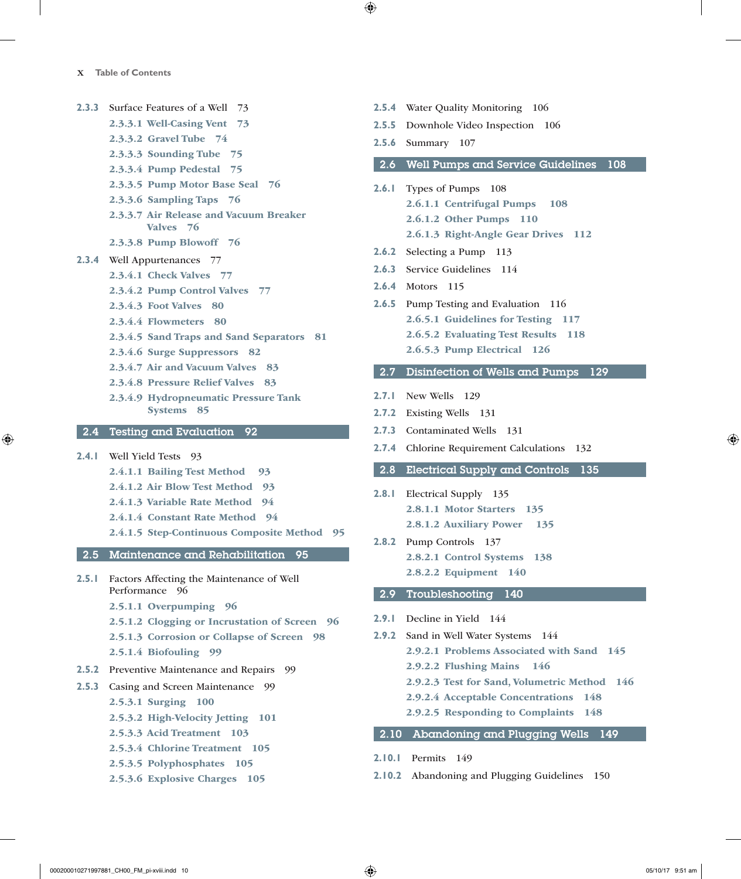- **2.3.3** Surface Features of a Well 73
	- 2.3.3.1 Well-Casing Vent 73
		- 2.3.3.2 Gravel Tube 74
		- 2.3.3.3 Sounding Tube 75
		- 2.3.3.4 Pump Pedestal 75
		- 2.3.3.5 Pump Motor Base Seal 76
		- 2.3.3.6 Sampling Taps 76
		- 2.3.3.7 Air Release and Vacuum Breaker Valves 76
		- 2.3.3.8 Pump Blowoff 76
- **2.3.4** Well Appurtenances 77
	- 2.3.4.1 Check Valves 77
	- 2.3.4.2 Pump Control Valves 77
	- 2.3.4.3 Foot Valves 80
	- 2.3.4.4 Flowmeters 80
	- 2.3.4.5 Sand Traps and Sand Separators 81
	- 2.3.4.6 Surge Suppressors 82
	- 2.3.4.7 Air and Vacuum Valves 83
	- 2.3.4.8 Pressure Relief Valves 83
	- 2.3.4.9 Hydropneumatic Pressure Tank Systems 85

#### 2.4 Testing and Evaluation 92

- **2.4.1** Well Yield Tests 93
	- 2.4.1.1 Bailing Test Method 93
	- 2.4.1.2 Air Blow Test Method 93
	- 2.4.1.3 Variable Rate Method 94
	- 2.4.1.4 Constant Rate Method 94
	- 2.4.1.5 Step-Continuous Composite Method 95

#### 2.5 Maintenance and Rehabilitation 95

- **2.5.1** Factors Affecting the Maintenance of Well Performance 96
	- 2.5.1.1 Overpumping 96
	- 2.5.1.2 Clogging or Incrustation of Screen 96
	- 2.5.1.3 Corrosion or Collapse of Screen 98
	- 2.5.1.4 Biofouling 99
- **2.5.2** Preventive Maintenance and Repairs 99
- **2.5.3** Casing and Screen Maintenance 99

#### 2.5.3.1 Surging 100

- 2.5.3.2 High-Velocity Jetting 101
- 2.5.3.3 Acid Treatment 103
- 2.5.3.4 Chlorine Treatment 105
- 2.5.3.5 Polyphosphates 105
- 2.5.3.6 Explosive Charges 105
- **2.5.4** Water Quality Monitoring 106
- **2.5.5** Downhole Video Inspection 106
- **2.5.6** Summary 107

#### 2.6 Well Pumps and Service Guidelines 108

- **2.6.1** Types of Pumps 108 2.6.1.1 Centrifugal Pumps 108 2.6.1.2 Other Pumps 110 2.6.1.3 Right-Angle Gear Drives 112
- **2.6.2** Selecting a Pump 113
- **2.6.3** Service Guidelines 114
- **2.6.4** Motors 115
- **2.6.5** Pump Testing and Evaluation 116 2.6.5.1 Guidelines for Testing 117 2.6.5.2 Evaluating Test Results 118 2.6.5.3 Pump Electrical 126
- 2.7 Disinfection of Wells and Pumps 129
- **2.7.1** New Wells 129
- **2.7.2** Existing Wells 131
- **2.7.3** Contaminated Wells 131
- **2.7.4** Chlorine Requirement Calculations 132

#### 2.8 Electrical Supply and Controls 135

- **2.8.1** Electrical Supply 135 2.8.1.1 Motor Starters 135 2.8.1.2 Auxiliary Power 135
- **2.8.2** Pump Controls 137 2.8.2.1 Control Systems 138 2.8.2.2 Equipment 140

#### 2.9 Troubleshooting 140

- **2.9.1** Decline in Yield 144
- **2.9.2** Sand in Well Water Systems 144 2.9.2.1 Problems Associated with Sand 145 2.9.2.2 Flushing Mains 146 2.9.2.3 Test for Sand, Volumetric Method 146 2.9.2.4 Acceptable Concentrations 148 2.9.2.5 Responding to Complaints 148

### 2.10 Abandoning and Plugging Wells 149

- **2.10.1** Permits 149
- **2.10.2** Abandoning and Plugging Guidelines 150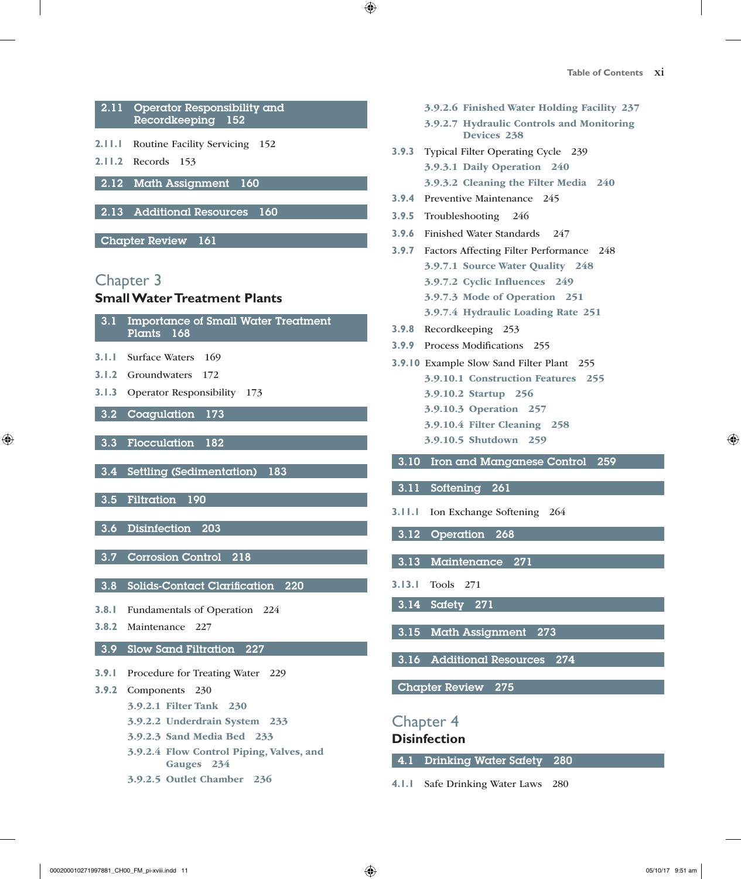

#### 3.9 Slow Sand Filtration 227

- **3.9.1** Procedure for Treating Water 229
- **3.9.2** Components 230
	- 3.9.2.1 Filter Tank 230
	- 3.9.2.2 Underdrain System 233
	- 3.9.2.3 Sand Media Bed 233
	- 3.9.2.4 Flow Control Piping, Valves, and Gauges 234
	- 3.9.2.5 Outlet Chamber 236
- 3.9.2.6 Finished Water Holding Facility 237
- 3.9.2.7 Hydraulic Controls and Monitoring Devices 238
- **3.9.3** Typical Filter Operating Cycle 239 3.9.3.1 Daily Operation 240 3.9.3.2 Cleaning the Filter Media 240
- **3.9.4** Preventive Maintenance 245
- **3.9.5** Troubleshooting 246
- **3.9.6** Finished Water Standards 247
- **3.9.7** Factors Affecting Filter Performance 248 3.9.7.1 Source Water Quality 248 3.9.7.2 Cyclic Influences 249 3.9.7.3 Mode of Operation 251 3.9.7.4 Hydraulic Loading Rate 251
- **3.9.8** Recordkeeping 253
- **3.9.9** Process Modifications 255
- **3.9.10** Example Slow Sand Filter Plant 255 3.9.10.1 Construction Features 255 3.9.10.2 Startup 256 3.9.10.3 Operation 257 3.9.10.4 Filter Cleaning 258 3.9.10.5 Shutdown 259
- 3.10 Iron and Manganese Control 259
- 3.11 Softening 261
- **3.11.1** Ion Exchange Softening 264
- 3.12 Operation 268
- 3.13 Maintenance 271
- **3.13.1** Tools 271
- 3.14 Safety 271
- 3.15 Math Assignment 273
- 3.16 Additional Resources 274

Chapter Review 275

Chapter 4

### **Disinfection**

4.1 Drinking Water Safety 280

**4.1.1** Safe Drinking Water Laws 280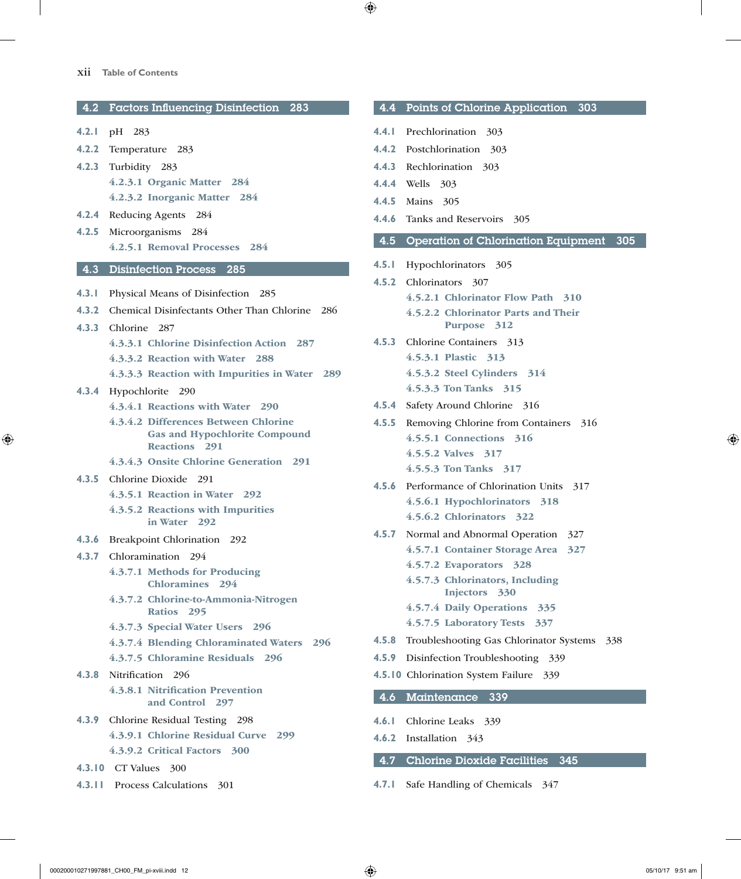| 4.2   | <b>Factors Influencing Disinfection</b><br>283          |
|-------|---------------------------------------------------------|
| 4.2.1 | pH 283                                                  |
| 4.2.2 | Temperature 283                                         |
| 4.2.3 | Turbidity 283                                           |
|       | 4.2.3.1 Organic Matter 284                              |
|       | 4.2.3.2 Inorganic Matter 284                            |
| 4.2.4 | <b>Reducing Agents</b><br>284                           |
| 4.2.5 | Microorganisms<br>- 284                                 |
|       | 4.2.5.1 Removal Processes 284                           |
| 4.3   | <b>Disinfection Process</b><br>285                      |
| 4.3.1 | Physical Means of Disinfection<br>-285                  |
| 4.3.2 | Chemical Disinfectants Other Than Chlorine 286          |
| 4.3.3 | Chlorine 287                                            |
|       | 4.3.3.1 Chlorine Disinfection Action 287                |
|       | 4.3.3.2 Reaction with Water 288                         |
|       | 4.3.3.3 Reaction with Impurities in Water<br>289        |
|       | 4.3.4 Hypochlorite 290                                  |
|       | 4.3.4.1 Reactions with Water 290                        |
|       | 4.3.4.2 Differences Between Chlorine                    |
|       | <b>Gas and Hypochlorite Compound</b>                    |
|       | Reactions 291                                           |
|       | 4.3.4.3 Onsite Chlorine Generation 291                  |
| 4.3.5 | Chlorine Dioxide<br>291                                 |
|       | 4.3.5.1 Reaction in Water 292                           |
|       | 4.3.5.2 Reactions with Impurities<br>in Water 292       |
| 4.3.6 | Breakpoint Chlorination 292                             |
|       | 4.3.7 Chloramination 294                                |
|       | 4.3.7.1 Methods for Producing<br><b>Chloramines</b> 294 |
|       | 4.3.7.2 Chlorine-to-Ammonia-Nitrogen<br>Ratios 295      |
|       | 4.3.7.3 Special Water Users 296                         |
|       | 4.3.7.4 Blending Chloraminated Waters 296               |
|       | 4.3.7.5 Chloramine Residuals 296                        |
|       | 4.3.8 Nitrification 296                                 |
|       | 4.3.8.1 Nitrification Prevention<br>and Control 297     |
|       | 4.3.9 Chlorine Residual Testing 298                     |
|       | 4.3.9.1 Chlorine Residual Curve 299                     |
|       | 4.3.9.2 Critical Factors 300                            |
|       | 4.3.10 CT Values<br>300                                 |

**4.3.11** Process Calculations 301

### 4.4 Points of Chlorine Application 303

- **4.4.1** Prechlorination 303
- **4.4.2** Postchlorination 303
- **4.4.3** Rechlorination 303
- **4.4.4** Wells 303
- **4.4.5** Mains 305
- **4.4.6** Tanks and Reservoirs 305
- 4.5 Operation of Chlorination Equipment 305
- **4.5.1** Hypochlorinators 305

|                  | <b>4.5.2</b> Chlorinators 307                      |
|------------------|----------------------------------------------------|
|                  | 4.5.2.1 Chlorinator Flow Path 310                  |
|                  | 4.5.2.2 Chlorinator Parts and Their<br>Purpose 312 |
| 4.5.3            | Chlorine Containers 313                            |
|                  | 4.5.3.1 Plastic 313                                |
|                  | 4.5.3.2 Steel Cylinders 314                        |
|                  | 4.5.3.3 Ton Tanks 315                              |
| 4.5.4            | Safety Around Chlorine 316                         |
| 4.5.5            | Removing Chlorine from Containers 316              |
|                  | 4.5.5.1 Connections 316                            |
|                  | 4.5.5.2 Valves 317                                 |
|                  | 4.5.5.3 Ton Tanks 317                              |
| 4.5.6            | Performance of Chlorination Units 317              |
|                  | 4.5.6.1 Hypochlorinators 318                       |
|                  | 4.5.6.2 Chlorinators 322                           |
| 4.5.7            | Normal and Abnormal Operation 327                  |
|                  | 4.5.7.1 Container Storage Area 327                 |
|                  | 4.5.7.2 Evaporators 328                            |
|                  | 4.5.7.3 Chlorinators, Including<br>Injectors 330   |
|                  | 4.5.7.4 Daily Operations 335                       |
|                  | 4.5.7.5 Laboratory Tests 337                       |
| 4.5.8            | Troubleshooting Gas Chlorinator Systems 338        |
| 4.5.9            | Disinfection Troubleshooting<br>339                |
|                  | 4.5.10 Chlorination System Failure 339             |
| $\overline{4.6}$ | Maintenance<br>339                                 |
| 4.6.1            | Chlorine Leaks 339                                 |

- **4.6.2** Installation 343
- 4.7 Chlorine Dioxide Facilities 345
- **4.7.1** Safe Handling of Chemicals 347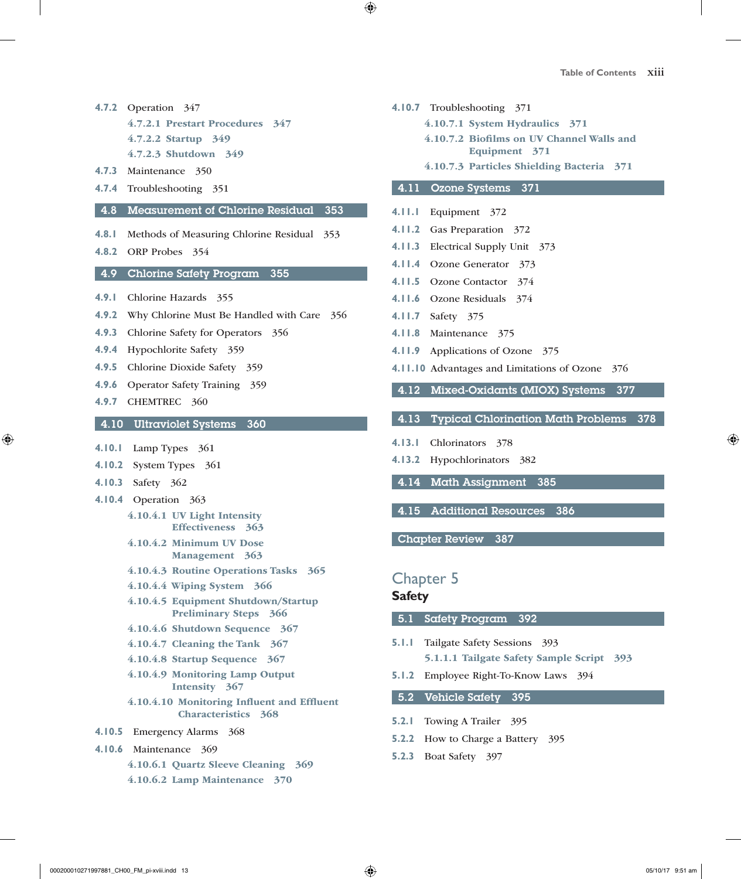- **4.7.2** Operation 347 4.7.2.1 Prestart Procedures 347
	- 4.7.2.2 Startup 349
	- 4.7.2.3 Shutdown 349
- **4.7.3** Maintenance 350
- **4.7.4** Troubleshooting 351

#### 4.8 Measurement of Chlorine Residual 353

- **4.8.1** Methods of Measuring Chlorine Residual 353
- **4.8.2** ORP Probes 354

#### 4.9 Chlorine Safety Program 355

- **4.9.1** Chlorine Hazards 355
- **4.9.2** Why Chlorine Must Be Handled with Care 356
- **4.9.3** Chlorine Safety for Operators 356
- **4.9.4** Hypochlorite Safety 359
- **4.9.5** Chlorine Dioxide Safety 359
- **4.9.6** Operator Safety Training 359
- **4.9.7** CHEMTREC 360

#### 4.10 Ultraviolet Systems 360

- **4.10.1** Lamp Types 361
- **4.10.2** System Types 361
- **4.10.3** Safety 362
- **4.10.4** Operation 363
	- 4.10.4.1 UV Light Intensity Effectiveness 363
	- 4.10.4.2 Minimum UV Dose Management 363
	- 4.10.4.3 Routine Operations Tasks 365
	- 4.10.4.4 Wiping System 366
	- 4.10.4.5 Equipment Shutdown/Startup Preliminary Steps 366
	- 4.10.4.6 Shutdown Sequence 367
	- 4.10.4.7 Cleaning the Tank 367
	- 4.10.4.8 Startup Sequence 367
	- 4.10.4.9 Monitoring Lamp Output Intensity 367
	- 4.10.4.10 Monitoring Influent and Effluent Characteristics 368
- **4.10.5** Emergency Alarms 368
- **4.10.6** Maintenance 369
	- 4.10.6.1 Quartz Sleeve Cleaning 369
	- 4.10.6.2 Lamp Maintenance 370
- **4.10.7** Troubleshooting 371
	- 4.10.7.1 System Hydraulics 371
	- 4.10.7.2 Biofilms on UV Channel Walls and Equipment 371
	- 4.10.7.3 Particles Shielding Bacteria 371

#### 4.11 Ozone Systems 371

- **4.11.1** Equipment 372
- **4.11.2** Gas Preparation 372
- **4.11.3** Electrical Supply Unit 373
- **4.11.4** Ozone Generator 373
- **4.11.5** Ozone Contactor 374
- **4.11.6** Ozone Residuals 374
- **4.11.7** Safety 375
- **4.11.8** Maintenance 375
- **4.11.9** Applications of Ozone 375
- **4.11.10** Advantages and Limitations of Ozone 376
- 4.12 Mixed-Oxidants (MIOX) Systems 377
- 4.13 Typical Chlorination Math Problems 378
- **4.13.1** Chlorinators 378
- **4.13.2** Hypochlorinators 382
- 4.14 Math Assignment 385
- 4.15 Additional Resources 386

Chapter Review 387

### Chapter 5

#### **Safety**

5.1 Safety Program 392

- **5.1.1** Tailgate Safety Sessions 393 5.1.1.1 Tailgate Safety Sample Script 393
- **5.1.2** Employee Right-To-Know Laws 394

5.2 Vehicle Safety 395

- **5.2.1** Towing A Trailer 395
- **5.2.2** How to Charge a Battery 395
- **5.2.3** Boat Safety 397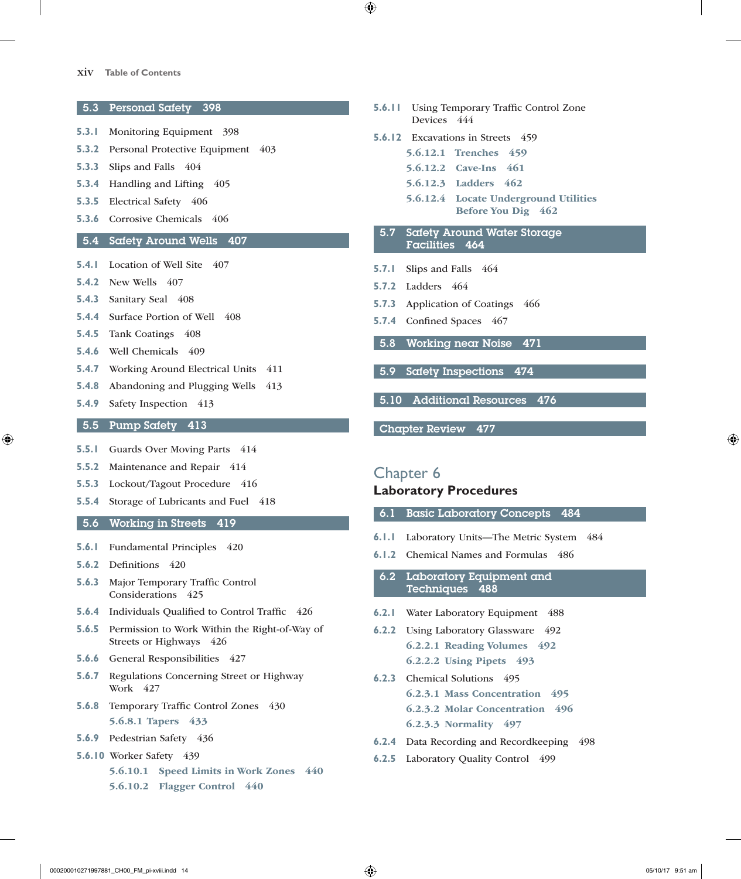#### xiv **Table of Contents**

5.3 Personal Safety 398

- **5.3.1** Monitoring Equipment 398
- **5.3.2** Personal Protective Equipment 403
- **5.3.3** Slips and Falls 404
- **5.3.4** Handling and Lifting 405
- **5.3.5** Electrical Safety 406
- **5.3.6** Corrosive Chemicals 406

#### 5.4 Safety Around Wells 407

- **5.4.1** Location of Well Site 407
- **5.4.2** New Wells 407
- **5.4.3** Sanitary Seal 408
- **5.4.4** Surface Portion of Well 408
- **5.4.5** Tank Coatings 408
- **5.4.6** Well Chemicals 409
- **5.4.7** Working Around Electrical Units 411
- **5.4.8** Abandoning and Plugging Wells 413
- **5.4.9** Safety Inspection 413

### 5.5 Pump Safety 413

- **5.5.1 Guards Over Moving Parts** 414
- **5.5.2** Maintenance and Repair 414
- **5.5.3** Lockout/Tagout Procedure 416
- **5.5.4** Storage of Lubricants and Fuel 418

#### 5.6 Working in Streets 419

- **5.6.1** Fundamental Principles 420
- **5.6.2** Definitions 420
- **5.6.3** Major Temporary Traffic Control Considerations 425
- **5.6.4** Individuals Qualified to Control Traffic 426
- **5.6.5** Permission to Work Within the Right-of-Way of Streets or Highways 426
- 
- Work 427
- 5.6.8.1 Tapers 433
- **5.6.9** Pedestrian Safety 436
- **5.6.10** Worker Safety 439
	- 5.6.10.1 Speed Limits in Work Zones 440
- 
- **5.6.6** General Responsibilities 427
- **5.6.7** Regulations Concerning Street or Highway
- **5.6.8** Temporary Traffic Control Zones 430
	-
	-
- - 5.6.10.2 Flagger Control 440
- **5.6.11** Using Temporary Traffic Control Zone Devices 444
- **5.6.12** Excavations in Streets 459
	- 5.6.12.1 Trenches 459
		- 5.6.12.2 Cave-Ins 461
		- 5.6.12.3 Ladders 462
		- 5.6.12.4 Locate Underground Utilities Before You Dig 462
- 5.7 Safety Around Water Storage Facilities 464
- **5.7.1** Slips and Falls 464
- **5.7.2** Ladders 464
- **5.7.3** Application of Coatings 466
- **5.7.4** Confined Spaces 467
- 5.8 Working near Noise 471
- 5.9 Safety Inspections 474
- 5.10 Additional Resources 476

Chapter Review 477

Chapter 6 **Laboratory Procedures**

- 6.1 Basic Laboratory Concepts 484
- **6.1.1** Laboratory Units—The Metric System 484
- **6.1.2** Chemical Names and Formulas 486

6.2 Laboratory Equipment and Techniques 488

- **6.2.1** Water Laboratory Equipment 488
- **6.2.2** Using Laboratory Glassware 492 6.2.2.1 Reading Volumes 492 6.2.2.2 Using Pipets 493
- **6.2.3** Chemical Solutions 495 6.2.3.1 Mass Concentration 495 6.2.3.2 Molar Concentration 496 6.2.3.3 Normality 497
- **6.2.4** Data Recording and Recordkeeping 498
- **6.2.5** Laboratory Quality Control 499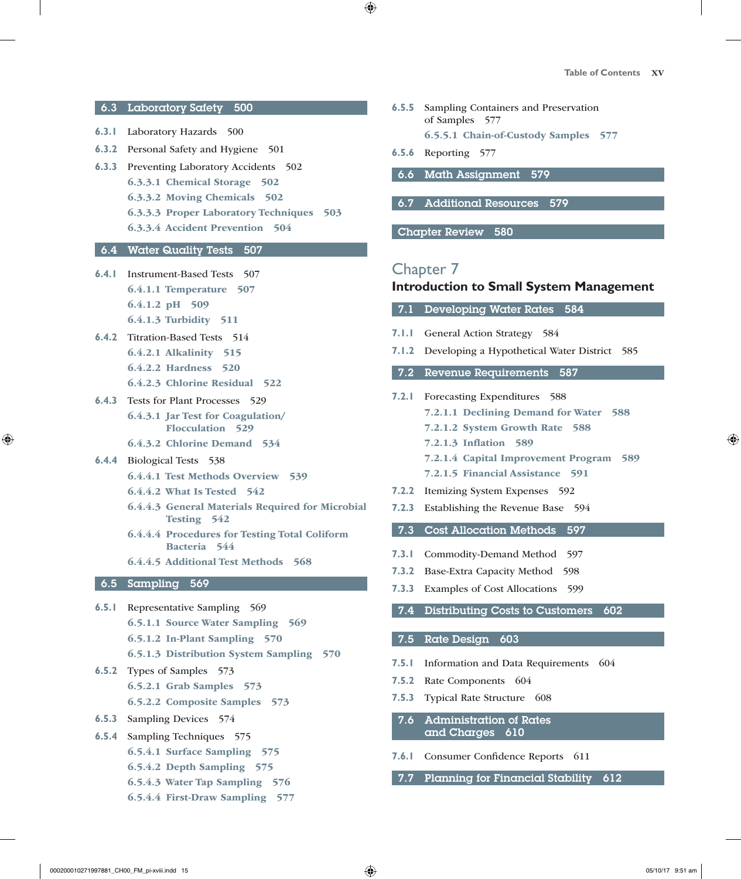#### 6.3 Laboratory Safety 500

- **6.3.1** Laboratory Hazards 500
- **6.3.2** Personal Safety and Hygiene 501
- **6.3.3** Preventing Laboratory Accidents 502 6.3.3.1 Chemical Storage 502 6.3.3.2 Moving Chemicals 502 6.3.3.3 Proper Laboratory Techniques 503 6.3.3.4 Accident Prevention 504

#### 6.4 Water Quality Tests 507

- **6.4.1** Instrument-Based Tests 507 6.4.1.1 Temperature 507 6.4.1.2 pH 509 6.4.1.3 Turbidity 511
- **6.4.2** Titration-Based Tests 514 6.4.2.1 Alkalinity 515 6.4.2.2 Hardness 520 6.4.2.3 Chlorine Residual 522
	-
- **6.4.3** Tests for Plant Processes 529 6.4.3.1 Jar Test for Coagulation/
	- Flocculation 529
	- 6.4.3.2 Chlorine Demand 534
- **6.4.4** Biological Tests 538
	- 6.4.4.1 Test Methods Overview 539
	- 6.4.4.2 What Is Tested 542
	- 6.4.4.3 General Materials Required for Microbial Testing 542
	- 6.4.4.4 Procedures for Testing Total Coliform Bacteria 544
	- 6.4.4.5 Additional Test Methods 568

#### 6.5 Sampling 569

- **6.5.1** Representative Sampling 569 6.5.1.1 Source Water Sampling 569 6.5.1.2 In-Plant Sampling 570 6.5.1.3 Distribution System Sampling 570
- **6.5.2** Types of Samples 573 6.5.2.1 Grab Samples 573
	- 6.5.2.2 Composite Samples 573
- **6.5.3** Sampling Devices 574
- **6.5.4** Sampling Techniques 575
	- 6.5.4.1 Surface Sampling 575
	- 6.5.4.2 Depth Sampling 575
	- 6.5.4.3 Water Tap Sampling 576
	- 6.5.4.4 First-Draw Sampling 577
- **6.5.5** Sampling Containers and Preservation of Samples 577 6.5.5.1 Chain-of-Custody Samples 577
- **6.5.6** Reporting 577
	- 6.6 Math Assignment 579
- 6.7 Additional Resources 579

Chapter Review 580

### Chapter 7

#### **Introduction to Small System Management**

7.1 Developing Water Rates 584

- **7.1.1** General Action Strategy 584
- **7.1.2** Developing a Hypothetical Water District 585
- 7.2 Revenue Requirements 587
- **7.2.1** Forecasting Expenditures 588
	- 7.2.1.1 Declining Demand for Water 588
		- 7.2.1.2 System Growth Rate 588
	- 7.2.1.3 Inflation 589
	- 7.2.1.4 Capital Improvement Program 589
	- 7.2.1.5 Financial Assistance 591
- **7.2.2** Itemizing System Expenses 592
- **7.2.3** Establishing the Revenue Base 594

#### 7.3 Cost Allocation Methods 597

- **7.3.1** Commodity-Demand Method 597
- **7.3.2** Base-Extra Capacity Method 598
- **7.3.3** Examples of Cost Allocations 599
- 7.4 Distributing Costs to Customers 602

#### 7.5 Rate Design 603

- **7.5.1** Information and Data Requirements 604
- **7.5.2** Rate Components 604
- **7.5.3** Typical Rate Structure 608
- 7.6 Administration of Rates and Charges 610
- **7.6.1** Consumer Confidence Reports 611
- 7.7 Planning for Financial Stability 612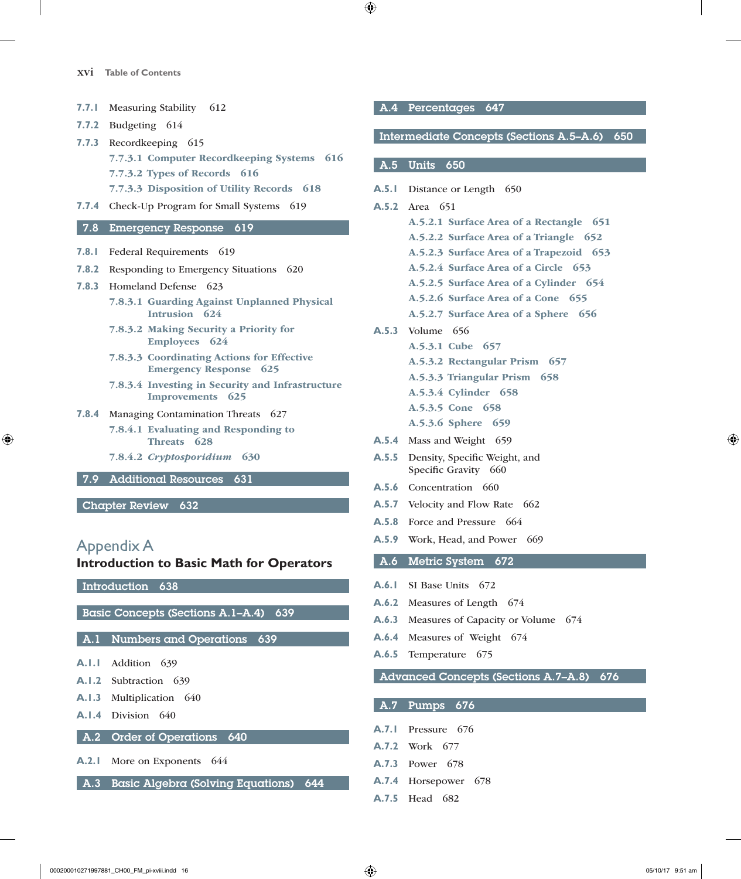- **7.7.1** Measuring Stability 612
- **7.7.2** Budgeting 614
- **7.7.3** Recordkeeping 615

7.7.3.1 Computer Recordkeeping Systems 616

- 7.7.3.2 Types of Records 616
- 7.7.3.3 Disposition of Utility Records 618
- **7.7.4** Check-Up Program for Small Systems 619

#### 7.8 Emergency Response 619

- **7.8.1** Federal Requirements 619
- **7.8.2** Responding to Emergency Situations 620
- **7.8.3** Homeland Defense 623
	- 7.8.3.1 Guarding Against Unplanned Physical Intrusion 624
	- 7.8.3.2 Making Security a Priority for Employees 624
	- 7.8.3.3 Coordinating Actions for Effective Emergency Response 625
	- 7.8.3.4 Investing in Security and Infrastructure Improvements 625
- **7.8.4** Managing Contamination Threats 627
	- 7.8.4.1 Evaluating and Responding to Threats 628
	- 7.8.4.2 *Cryptosporidium* 630
- 7.9 Additional Resources 631

Chapter Review 632

### Appendix A

#### **Introduction to Basic Math for Operators**

Introduction 638

Basic Concepts (Sections A.1–A.4) 639

#### A.1 Numbers and Operations 639

- **A.1.1** Addition 639
- **A.1.2** Subtraction 639
- **A.1.3** Multiplication 640
- **A.1.4** Division 640

#### A.2 Order of Operations 640

- **A.2.1** More on Exponents 644
- A.3 Basic Algebra (Solving Equations) 644

#### A.4 Percentages 647

#### Intermediate Concepts (Sections A.5–A.6) 650

#### A.5 Units 650

- **A.5.1** Distance or Length 650
- **A.5.2** Area 651
	- A.5.2.1 Surface Area of a Rectangle 651
	- A.5.2.2 Surface Area of a Triangle 652
	- A.5.2.3 Surface Area of a Trapezoid 653
	- A.5.2.4 Surface Area of a Circle 653
	- A.5.2.5 Surface Area of a Cylinder 654
	- A.5.2.6 Surface Area of a Cone 655
	- A.5.2.7 Surface Area of a Sphere 656
- **A.5.3** Volume 656
	- A.5.3.1 Cube 657
		- A.5.3.2 Rectangular Prism 657
		- A.5.3.3 Triangular Prism 658
		- A.5.3.4 Cylinder 658
		- A.5.3.5 Cone 658
		- A.5.3.6 Sphere 659
- **A.5.4** Mass and Weight 659
- **A.5.5** Density, Specific Weight, and Specific Gravity 660
- **A.5.6** Concentration 660
- **A.5.7** Velocity and Flow Rate 662
- **A.5.8** Force and Pressure 664
- **A.5.9** Work, Head, and Power 669
- A.6 Metric System 672
- **A.6.1** SI Base Units 672
- **A.6.2** Measures of Length 674
- **A.6.3** Measures of Capacity or Volume 674
- **A.6.4** Measures of Weight 674
- **A.6.5** Temperature 675

#### Advanced Concepts (Sections A.7–A.8) 676

- A.7 Pumps 676
- **A.7.1** Pressure 676
- **A.7.2** Work 677
- **A.7.3** Power 678
- **A.7.4** Horsepower 678
- **A.7.5** Head 682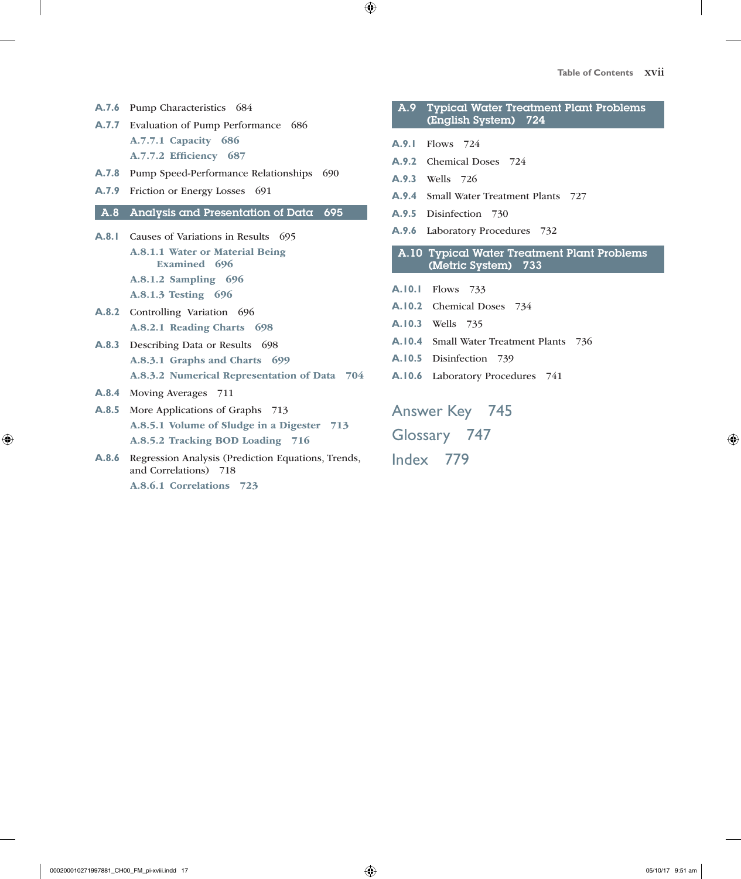- **A.7.6** Pump Characteristics 684
- **A.7.7** Evaluation of Pump Performance 686 A.7.7.1 Capacity 686 A.7.7.2 Efficiency 687
- **A.7.8** Pump Speed-Performance Relationships 690
- **A.7.9** Friction or Energy Losses 691

#### A.8 Analysis and Presentation of Data 695

- A.8.1 Causes of Variations in Results 695 A.8.1.1 Water or Material Being Examined 696 A.8.1.2 Sampling 696
	- A.8.1.3 Testing 696
- **A.8.2** Controlling Variation 696 A.8.2.1 Reading Charts 698
- **A.8.3** Describing Data or Results 698 A.8.3.1 Graphs and Charts 699 A.8.3.2 Numerical Representation of Data 704
- **A.8.4** Moving Averages 711
- **A.8.5** More Applications of Graphs 713 A.8.5.1 Volume of Sludge in a Digester 713 A.8.5.2 Tracking BOD Loading 716
- **A.8.6** Regression Analysis (Prediction Equations, Trends, and Correlations) 718 A.8.6.1 Correlations 723

A.9 Typical Water Treatment Plant Problems (English System) 724

- **A.9.1** Flows 724
- **A.9.2** Chemical Doses 724
- **A.9.3** Wells 726
- **A.9.4** Small Water Treatment Plants 727
- **A.9.5** Disinfection 730
- **A.9.6** Laboratory Procedures 732
- A.10 Typical Water Treatment Plant Problems (Metric System) 733
- **A.10.1** Flows 733
- **A.10.2** Chemical Doses 734
- **A.10.3** Wells 735
- **A.10.4** Small Water Treatment Plants 736
- **A.10.5** Disinfection 739
- **A.10.6** Laboratory Procedures 741

Answer Key 745 Glossary 747 Index 779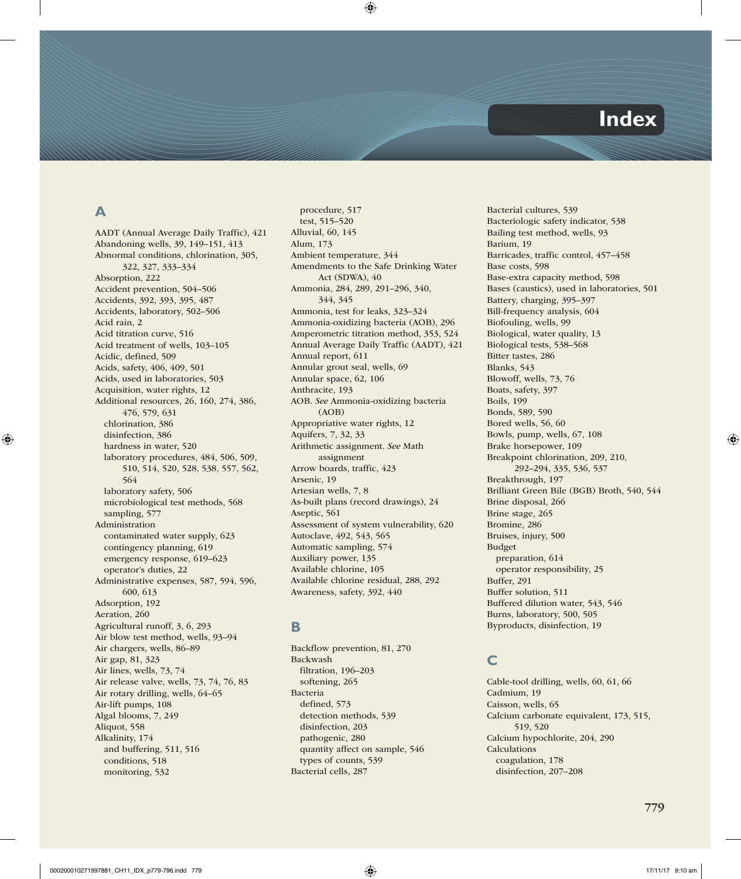# **Index**

### **A**

AADT (Annual Average Daily Traffic), 421 Abandoning wells, 39, 149–151, 413 Abnormal conditions, chlorination, 305, 322, 327, 333–334 Absorption, 222 Accident prevention, 504–506 Accidents, 392, 393, 395, 487 Accidents, laboratory, 502–506 Acid rain, 2 Acid titration curve, 516 Acid treatment of wells, 103–105 Acidic, defined, 509 Acids, safety, 406, 409, 501 Acids, used in laboratories, 503 Acquisition, water rights, 12 Additional resources, 26, 160, 274, 386, 476, 579, 631 chlorination, 386 disinfection, 386 hardness in water, 520 laboratory procedures, 484, 506, 509, 510, 514, 520, 528, 538, 557, 562, 564 laboratory safety, 506 microbiological test methods, 568 sampling, 577 Administration contaminated water supply, 623 contingency planning, 619 emergency response, 619–623 operator's duties, 22 Administrative expenses, 587, 594, 596, 600, 613 Adsorption, 192 Aeration, 260 Agricultural runoff, 3, 6, 293 Air blow test method, wells, 93–94 Air chargers, wells, 86–89 Air gap, 81, 323 Air lines, wells, 73, 74 Air release valve, wells, 73, 74, 76, 83 Air rotary drilling, wells, 64–65 Air-lift pumps, 108 Algal blooms, 7, 249 Aliquot, 558 Alkalinity, 174 and buffering, 511, 516 conditions, 518 monitoring, 532

procedure, 517 test, 515–520 Alluvial, 60, 145 Alum, 173 Ambient temperature, 344 Amendments to the Safe Drinking Water Act (SDWA), 40 Ammonia, 284, 289, 291–296, 340, 344, 345 Ammonia, test for leaks, 323–324 Ammonia-oxidizing bacteria (AOB), 296 Amperometric titration method, 353, 524 Annual Average Daily Traffic (AADT), 421 Annual report, 611 Annular grout seal, wells, 69 Annular space, 62, 106 Anthracite, 193 AOB. *See* Ammonia-oxidizing bacteria (AOB) Appropriative water rights, 12 Aquifers, 7, 32, 33 Arithmetic assignment. *See* Math assignment Arrow boards, traffic, 423 Arsenic, 19 Artesian wells, 7, 8 As-built plans (record drawings), 24 Aseptic, 561 Assessment of system vulnerability, 620 Autoclave, 492, 543, 565 Automatic sampling, 574 Auxiliary power, 135 Available chlorine, 105 Available chlorine residual, 288, 292 Awareness, safety, 392, 440

### **B**

Backflow prevention, 81, 270 Backwash filtration, 196–203 softening, 265 Bacteria defined, 573 detection methods, 539 disinfection, 203 pathogenic, 280 quantity affect on sample, 546 types of counts, 539 Bacterial cells, 287

Bacterial cultures, 539 Bacteriologic safety indicator, 538 Bailing test method, wells, 93 Barium, 19 Barricades, traffic control, 457–458 Base costs, 598 Base-extra capacity method, 598 Bases (caustics), used in laboratories, 501 Battery, charging, 395–397 Bill-frequency analysis, 604 Biofouling, wells, 99 Biological, water quality, 13 Biological tests, 538–568 Bitter tastes, 286 Blanks, 543 Blowoff, wells, 73, 76 Boats, safety, 397 Boils, 199 Bonds, 589, 590 Bored wells, 56, 60 Bowls, pump, wells, 67, 108 Brake horsepower, 109 Breakpoint chlorination, 209, 210, 292–294, 335, 536, 537 Breakthrough, 197 Brilliant Green Bile (BGB) Broth, 540, 544 Brine disposal, 266 Brine stage, 265 Bromine, 286 Bruises, injury, 500 Budget preparation, 614 operator responsibility, 25 Buffer, 291 Buffer solution, 511 Buffered dilution water, 543, 546 Burns, laboratory, 500, 505 Byproducts, disinfection, 19

# **C**

Cable-tool drilling, wells, 60, 61, 66 Cadmium, 19 Caisson, wells, 65 Calcium carbonate equivalent, 173, 515, 519, 520 Calcium hypochlorite, 204, 290 Calculations coagulation, 178 disinfection, 207–208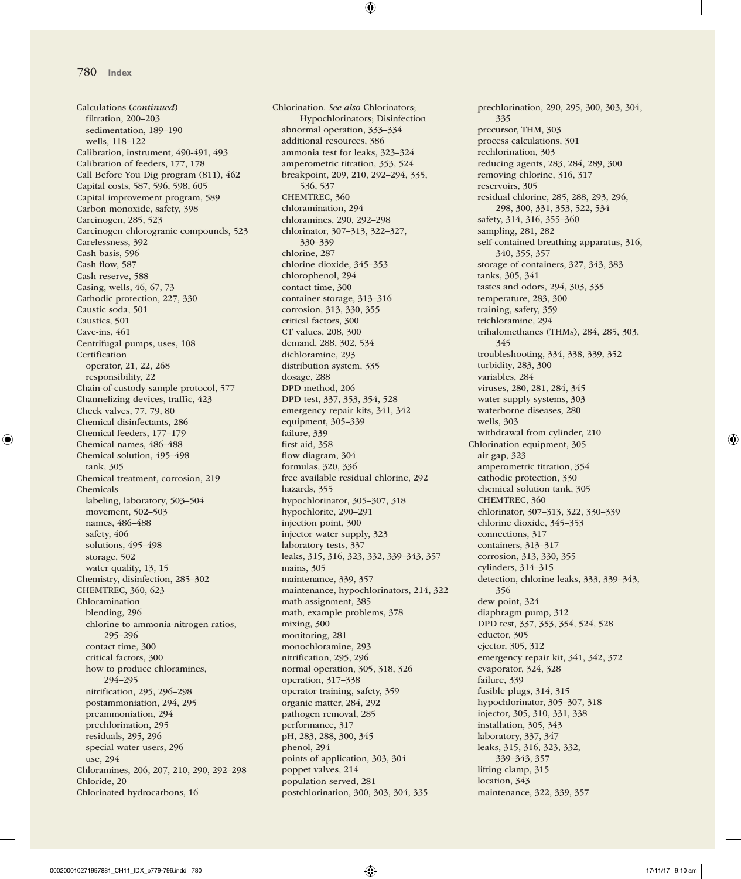Calculations (*continued*) filtration, 200–203 sedimentation, 189–190 wells, 118–122 Calibration, instrument, 490-491, 493 Calibration of feeders, 177, 178 Call Before You Dig program (811), 462 Capital costs, 587, 596, 598, 605 Capital improvement program, 589 Carbon monoxide, safety, 398 Carcinogen, 285, 523 Carcinogen chlorogranic compounds, 523 Carelessness, 392 Cash basis, 596 Cash flow, 587 Cash reserve, 588 Casing, wells, 46, 67, 73 Cathodic protection, 227, 330 Caustic soda, 501 Caustics, 501 Cave-ins, 461 Centrifugal pumps, uses, 108 **Certification** operator, 21, 22, 268 responsibility, 22 Chain-of-custody sample protocol, 577 Channelizing devices, traffic, 423 Check valves, 77, 79, 80 Chemical disinfectants, 286 Chemical feeders, 177–179 Chemical names, 486–488 Chemical solution, 495–498 tank, 305 Chemical treatment, corrosion, 219 Chemicals labeling, laboratory, 503–504 movement, 502–503 names, 486–488 safety, 406 solutions, 495–498 storage, 502 water quality, 13, 15 Chemistry, disinfection, 285–302 CHEMTREC, 360, 623 Chloramination blending, 296 chlorine to ammonia-nitrogen ratios, 295–296 contact time, 300 critical factors, 300 how to produce chloramines, 294–295 nitrification, 295, 296–298 postammoniation, 294, 295 preammoniation, 294 prechlorination, 295 residuals, 295, 296 special water users, 296 use, 294 Chloramines, 206, 207, 210, 290, 292–298 Chloride, 20 Chlorinated hydrocarbons, 16

Chlorination. *See also* Chlorinators; Hypochlorinators; Disinfection abnormal operation, 333–334 additional resources, 386 ammonia test for leaks, 323–324 amperometric titration, 353, 524 breakpoint, 209, 210, 292–294, 335, 536, 537 CHEMTREC, 360 chloramination, 294 chloramines, 290, 292–298 chlorinator, 307–313, 322–327, 330–339 chlorine, 287 chlorine dioxide, 345–353 chlorophenol, 294 contact time, 300 container storage, 313–316 corrosion, 313, 330, 355 critical factors, 300 CT values, 208, 300 demand, 288, 302, 534 dichloramine, 293 distribution system, 335 dosage, 288 DPD method, 206 DPD test, 337, 353, 354, 528 emergency repair kits, 341, 342 equipment, 305–339 failure, 339 first aid, 358 flow diagram, 304 formulas, 320, 336 free available residual chlorine, 292 hazards, 355 hypochlorinator, 305–307, 318 hypochlorite, 290–291 injection point, 300 injector water supply, 323 laboratory tests, 337 leaks, 315, 316, 323, 332, 339–343, 357 mains, 305 maintenance, 339, 357 maintenance, hypochlorinators, 214, 322 math assignment, 385 math, example problems, 378 mixing, 300 monitoring, 281 monochloramine, 293 nitrification, 295, 296 normal operation, 305, 318, 326 operation, 317–338 operator training, safety, 359 organic matter, 284, 292 pathogen removal, 285 performance, 317 pH, 283, 288, 300, 345 phenol, 294 points of application, 303, 304 poppet valves, 214 population served, 281 postchlorination, 300, 303, 304, 335

prechlorination, 290, 295, 300, 303, 304, 335 precursor, THM, 303 process calculations, 301 rechlorination, 303 reducing agents, 283, 284, 289, 300 removing chlorine, 316, 317 reservoirs, 305 residual chlorine, 285, 288, 293, 296, 298, 300, 331, 353, 522, 534 safety, 314, 316, 355–360 sampling, 281, 282 self-contained breathing apparatus, 316, 340, 355, 357 storage of containers, 327, 343, 383 tanks, 305, 341 tastes and odors, 294, 303, 335 temperature, 283, 300 training, safety, 359 trichloramine, 294 trihalomethanes (THMs), 284, 285, 303, 345 troubleshooting, 334, 338, 339, 352 turbidity, 283, 300 variables, 284 viruses, 280, 281, 284, 345 water supply systems, 303 waterborne diseases, 280 wells, 303 withdrawal from cylinder, 210 Chlorination equipment, 305 air gap, 323 amperometric titration, 354 cathodic protection, 330 chemical solution tank, 305 CHEMTREC, 360 chlorinator, 307–313, 322, 330–339 chlorine dioxide, 345–353 connections, 317 containers, 313–317 corrosion, 313, 330, 355 cylinders, 314–315 detection, chlorine leaks, 333, 339–343, 356 dew point, 324 diaphragm pump, 312 DPD test, 337, 353, 354, 524, 528 eductor, 305 ejector, 305, 312 emergency repair kit, 341, 342, 372 evaporator, 324, 328 failure, 339 fusible plugs, 314, 315 hypochlorinator, 305–307, 318 injector, 305, 310, 331, 338 installation, 305, 343 laboratory, 337, 347 leaks, 315, 316, 323, 332, 339–343, 357 lifting clamp, 315 location, 343 maintenance, 322, 339, 357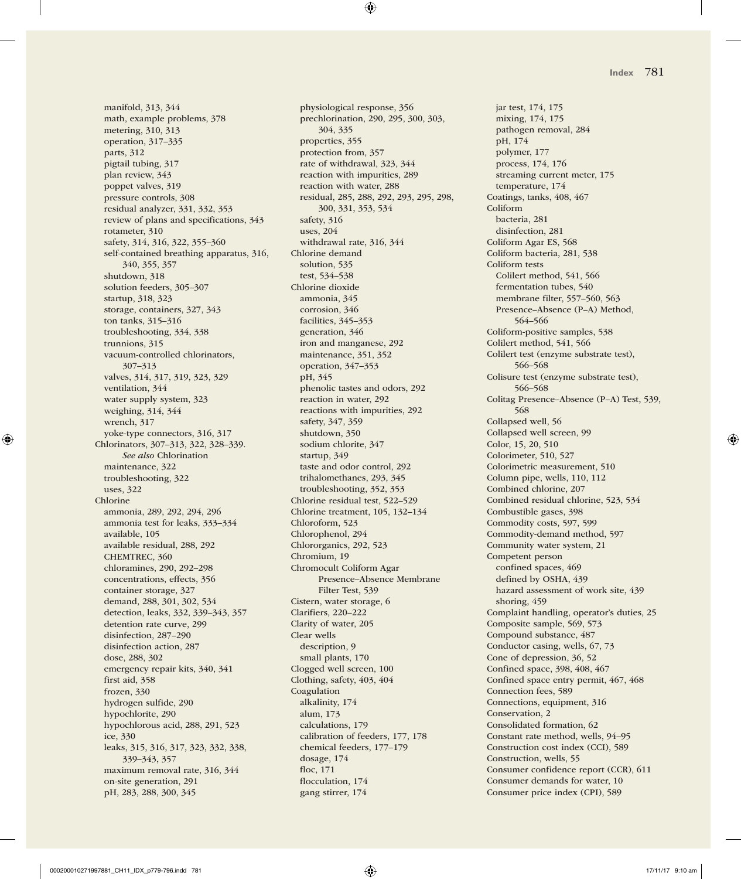manifold, 313, 344 math, example problems, 378 metering, 310, 313 operation, 317–335 parts, 312 pigtail tubing, 317 plan review, 343 poppet valves, 319 pressure controls, 308 residual analyzer, 331, 332, 353 review of plans and specifications, 343 rotameter, 310 safety, 314, 316, 322, 355–360 self-contained breathing apparatus, 316, 340, 355, 357 shutdown, 318 solution feeders, 305–307 startup, 318, 323 storage, containers, 327, 343 ton tanks, 315–316 troubleshooting, 334, 338 trunnions, 315 vacuum-controlled chlorinators, 307–313 valves, 314, 317, 319, 323, 329 ventilation, 344 water supply system, 323 weighing, 314, 344 wrench, 317 yoke-type connectors, 316, 317 Chlorinators, 307–313, 322, 328–339. *See also* Chlorination maintenance, 322 troubleshooting, 322 uses, 322 Chlorine ammonia, 289, 292, 294, 296 ammonia test for leaks, 333–334 available, 105 available residual, 288, 292 CHEMTREC, 360 chloramines, 290, 292–298 concentrations, effects, 356 container storage, 327 demand, 288, 301, 302, 534 detection, leaks, 332, 339–343, 357 detention rate curve, 299 disinfection, 287–290 disinfection action, 287 dose, 288, 302 emergency repair kits, 340, 341 first aid, 358 frozen, 330 hydrogen sulfide, 290 hypochlorite, 290 hypochlorous acid, 288, 291, 523 ice, 330 leaks, 315, 316, 317, 323, 332, 338, 339–343, 357 maximum removal rate, 316, 344 on-site generation, 291 pH, 283, 288, 300, 345

physiological response, 356 prechlorination, 290, 295, 300, 303, 304, 335 properties, 355 protection from, 357 rate of withdrawal, 323, 344 reaction with impurities, 289 reaction with water, 288 residual, 285, 288, 292, 293, 295, 298, 300, 331, 353, 534 safety, 316 uses, 204 withdrawal rate, 316, 344 Chlorine demand solution, 535 test, 534–538 Chlorine dioxide ammonia, 345 corrosion, 346 facilities, 345–353 generation, 346 iron and manganese, 292 maintenance, 351, 352 operation, 347–353 pH, 345 phenolic tastes and odors, 292 reaction in water, 292 reactions with impurities, 292 safety, 347, 359 shutdown, 350 sodium chlorite, 347 startup, 349 taste and odor control, 292 trihalomethanes, 293, 345 troubleshooting, 352, 353 Chlorine residual test, 522–529 Chlorine treatment, 105, 132–134 Chloroform, 523 Chlorophenol, 294 Chlororganics, 292, 523 Chromium, 19 Chromocult Coliform Agar Presence–Absence Membrane Filter Test, 539 Cistern, water storage, 6 Clarifiers, 220–222 Clarity of water, 205 Clear wells description, 9 small plants, 170 Clogged well screen, 100 Clothing, safety, 403, 404 Coagulation alkalinity, 174 alum, 173 calculations, 179 calibration of feeders, 177, 178 chemical feeders, 177–179 dosage, 174 floc, 171 flocculation, 174 gang stirrer, 174

jar test, 174, 175 mixing, 174, 175 pathogen removal, 284 pH, 174 polymer, 177 process, 174, 176 streaming current meter, 175 temperature, 174 Coatings, tanks, 408, 467 Coliform bacteria, 281 disinfection, 281 Coliform Agar ES, 568 Coliform bacteria, 281, 538 Coliform tests Colilert method, 541, 566 fermentation tubes, 540 membrane filter, 557–560, 563 Presence–Absence (P–A) Method, 564–566 Coliform-positive samples, 538 Colilert method, 541, 566 Colilert test (enzyme substrate test), 566–568 Colisure test (enzyme substrate test), 566–568 Colitag Presence–Absence (P–A) Test, 539, 568 Collapsed well, 56 Collapsed well screen, 99 Color, 15, 20, 510 Colorimeter, 510, 527 Colorimetric measurement, 510 Column pipe, wells, 110, 112 Combined chlorine, 207 Combined residual chlorine, 523, 534 Combustible gases, 398 Commodity costs, 597, 599 Commodity-demand method, 597 Community water system, 21 Competent person confined spaces, 469 defined by OSHA, 439 hazard assessment of work site, 439 shoring, 459 Complaint handling, operator's duties, 25 Composite sample, 569, 573 Compound substance, 487 Conductor casing, wells, 67, 73 Cone of depression, 36, 52 Confined space, 398, 408, 467 Confined space entry permit, 467, 468 Connection fees, 589 Connections, equipment, 316 Conservation, 2 Consolidated formation, 62 Constant rate method, wells, 94–95 Construction cost index (CCI), 589 Construction, wells, 55 Consumer confidence report (CCR), 611 Consumer demands for water, 10 Consumer price index (CPI), 589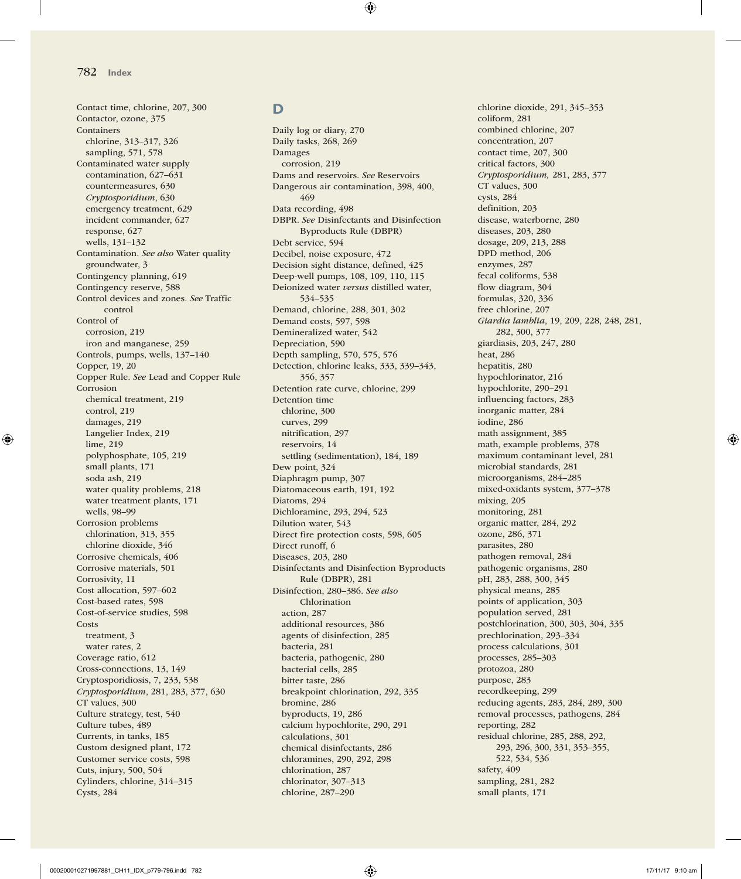Contact time, chlorine, 207, 300 Contactor, ozone, 375 Containers chlorine, 313–317, 326 sampling, 571, 578 Contaminated water supply contamination, 627–631 countermeasures, 630 *Cryptosporidium*, 630 emergency treatment, 629 incident commander, 627 response, 627 wells, 131–132 Contamination. *See also* Water quality groundwater, 3 Contingency planning, 619 Contingency reserve, 588 Control devices and zones. *See* Traffic control Control of corrosion, 219 iron and manganese, 259 Controls, pumps, wells, 137–140 Copper, 19, 20 Copper Rule. *See* Lead and Copper Rule Corrosion chemical treatment, 219 control, 219 damages, 219 Langelier Index, 219 lime, 219 polyphosphate, 105, 219 small plants, 171 soda ash, 219 water quality problems, 218 water treatment plants, 171 wells, 98–99 Corrosion problems chlorination, 313, 355 chlorine dioxide, 346 Corrosive chemicals, 406 Corrosive materials, 501 Corrosivity, 11 Cost allocation, 597–602 Cost-based rates, 598 Cost-of-service studies, 598 **Costs** treatment, 3 water rates, 2 Coverage ratio, 612 Cross-connections, 13, 149 Cryptosporidiosis, 7, 233, 538 *Cryptosporidium*, 281, 283, 377, 630 CT values, 300 Culture strategy, test, 540 Culture tubes, 489 Currents, in tanks, 185 Custom designed plant, 172 Customer service costs, 598 Cuts, injury, 500, 504 Cylinders, chlorine, 314–315 Cysts, 284

### **D**

Daily log or diary, 270 Daily tasks, 268, 269 Damages corrosion, 219 Dams and reservoirs. *See* Reservoirs Dangerous air contamination, 398, 400, 469 Data recording, 498 DBPR. *See* Disinfectants and Disinfection Byproducts Rule (DBPR) Debt service, 594 Decibel, noise exposure, 472 Decision sight distance, defined, 425 Deep-well pumps, 108, 109, 110, 115 Deionized water *versus* distilled water, 534–535 Demand, chlorine, 288, 301, 302 Demand costs, 597, 598 Demineralized water, 542 Depreciation, 590 Depth sampling, 570, 575, 576 Detection, chlorine leaks, 333, 339–343, 356, 357 Detention rate curve, chlorine, 299 Detention time chlorine, 300 curves, 299 nitrification, 297 reservoirs, 14 settling (sedimentation), 184, 189 Dew point, 324 Diaphragm pump, 307 Diatomaceous earth, 191, 192 Diatoms, 294 Dichloramine, 293, 294, 523 Dilution water, 543 Direct fire protection costs, 598, 605 Direct runoff, 6 Diseases, 203, 280 Disinfectants and Disinfection Byproducts Rule (DBPR), 281 Disinfection, 280–386. *See also* Chlorination action, 287 additional resources, 386 agents of disinfection, 285 bacteria, 281 bacteria, pathogenic, 280 bacterial cells, 285 bitter taste, 286 breakpoint chlorination, 292, 335 bromine, 286 byproducts, 19, 286 calcium hypochlorite, 290, 291 calculations, 301 chemical disinfectants, 286 chloramines, 290, 292, 298 chlorination, 287 chlorinator, 307–313 chlorine, 287–290

chlorine dioxide, 291, 345–353 coliform, 281 combined chlorine, 207 concentration, 207 contact time, 207, 300 critical factors, 300 *Cryptosporidium,* 281, 283, 377 CT values, 300 cysts, 284 definition, 203 disease, waterborne, 280 diseases, 203, 280 dosage, 209, 213, 288 DPD method, 206 enzymes, 287 fecal coliforms, 538 flow diagram, 304 formulas, 320, 336 free chlorine, 207 *Giardia lamblia*, 19, 209, 228, 248, 281, 282, 300, 377 giardiasis, 203, 247, 280 heat, 286 hepatitis, 280 hypochlorinator, 216 hypochlorite, 290–291 influencing factors, 283 inorganic matter, 284 iodine, 286 math assignment, 385 math, example problems, 378 maximum contaminant level, 281 microbial standards, 281 microorganisms, 284–285 mixed-oxidants system, 377–378 mixing, 205 monitoring, 281 organic matter, 284, 292 ozone, 286, 371 parasites, 280 pathogen removal, 284 pathogenic organisms, 280 pH, 283, 288, 300, 345 physical means, 285 points of application, 303 population served, 281 postchlorination, 300, 303, 304, 335 prechlorination, 293–334 process calculations, 301 processes, 285–303 protozoa, 280 purpose, 283 recordkeeping, 299 reducing agents, 283, 284, 289, 300 removal processes, pathogens, 284 reporting, 282 residual chlorine, 285, 288, 292, 293, 296, 300, 331, 353–355, 522, 534, 536 safety, 409 sampling, 281, 282 small plants, 171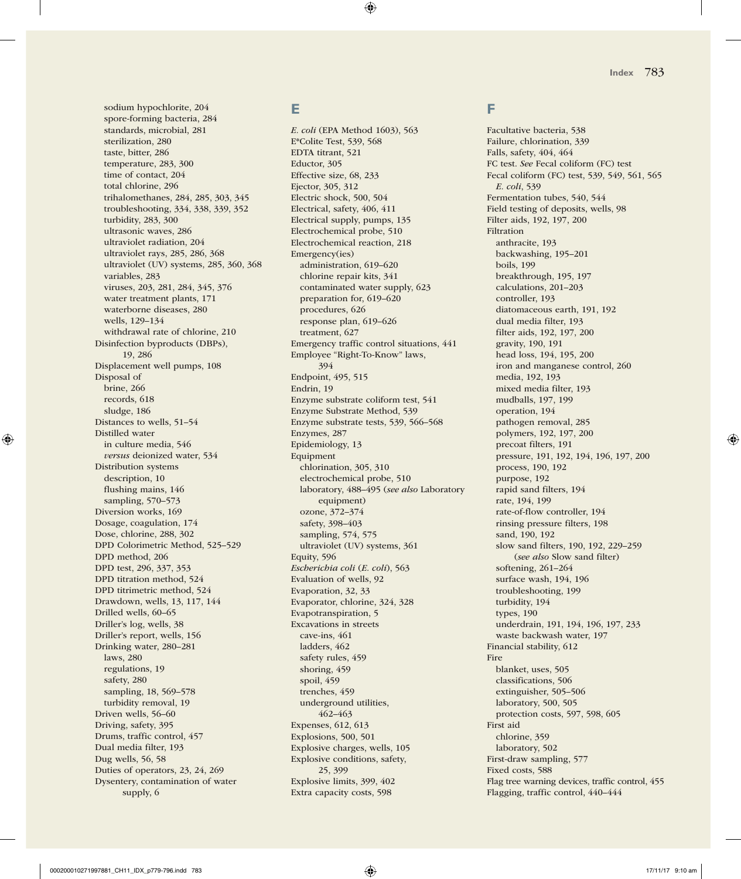sodium hypochlorite, 204 spore-forming bacteria, 284 standards, microbial, 281 sterilization, 280 taste, bitter, 286 temperature, 283, 300 time of contact, 204 total chlorine, 296 trihalomethanes, 284, 285, 303, 345 troubleshooting, 334, 338, 339, 352 turbidity, 283, 300 ultrasonic waves, 286 ultraviolet radiation, 204 ultraviolet rays, 285, 286, 368 ultraviolet (UV) systems, 285, 360, 368 variables, 283 viruses, 203, 281, 284, 345, 376 water treatment plants, 171 waterborne diseases, 280 wells, 129–134 withdrawal rate of chlorine, 210 Disinfection byproducts (DBPs), 19, 286 Displacement well pumps, 108 Disposal of brine, 266 records, 618 sludge, 186 Distances to wells, 51–54 Distilled water in culture media, 546 *versus* deionized water, 534 Distribution systems description, 10 flushing mains, 146 sampling, 570–573 Diversion works, 169 Dosage, coagulation, 174 Dose, chlorine, 288, 302 DPD Colorimetric Method, 525–529 DPD method, 206 DPD test, 296, 337, 353 DPD titration method, 524 DPD titrimetric method, 524 Drawdown, wells, 13, 117, 144 Drilled wells, 60–65 Driller's log, wells, 38 Driller's report, wells, 156 Drinking water, 280–281 laws, 280 regulations, 19 safety, 280 sampling, 18, 569–578 turbidity removal, 19 Driven wells, 56–60 Driving, safety, 395 Drums, traffic control, 457 Dual media filter, 193 Dug wells, 56, 58 Duties of operators, 23, 24, 269 Dysentery, contamination of water supply, 6

# **E**

*E. coli* (EPA Method 1603), 563 E\*Colite Test, 539, 568 EDTA titrant, 521 Eductor, 305 Effective size, 68, 233 Ejector, 305, 312 Electric shock, 500, 504 Electrical, safety, 406, 411 Electrical supply, pumps, 135 Electrochemical probe, 510 Electrochemical reaction, 218 Emergency(ies) administration, 619–620 chlorine repair kits, 341 contaminated water supply, 623 preparation for, 619–620 procedures, 626 response plan, 619–626 treatment, 627 Emergency traffic control situations, 441 Employee "Right-To-Know" laws, 394 Endpoint, 495, 515 Endrin, 19 Enzyme substrate coliform test, 541 Enzyme Substrate Method, 539 Enzyme substrate tests, 539, 566–568 Enzymes, 287 Epidemiology, 13 Equipment chlorination, 305, 310 electrochemical probe, 510 laboratory, 488–495 (*see also* Laboratory equipment) ozone, 372–374 safety, 398–403 sampling, 574, 575 ultraviolet (UV) systems, 361 Equity, 596 *Escherichia coli* (*E. coli*), 563 Evaluation of wells, 92 Evaporation, 32, 33 Evaporator, chlorine, 324, 328 Evapotranspiration, 5 Excavations in streets cave-ins, 461 ladders, 462 safety rules, 459 shoring, 459 spoil, 459 trenches, 459 underground utilities, 462–463 Expenses, 612, 613 Explosions, 500, 501 Explosive charges, wells, 105 Explosive conditions, safety, 25, 399 Explosive limits, 399, 402 Extra capacity costs, 598

### **F**

Facultative bacteria, 538 Failure, chlorination, 339 Falls, safety, 404, 464 FC test. *See* Fecal coliform (FC) test Fecal coliform (FC) test, 539, 549, 561, 565 *E. coli*, 539 Fermentation tubes, 540, 544 Field testing of deposits, wells, 98 Filter aids, 192, 197, 200 Filtration anthracite, 193 backwashing, 195–201 boils, 199 breakthrough, 195, 197 calculations, 201–203 controller, 193 diatomaceous earth, 191, 192 dual media filter, 193 filter aids, 192, 197, 200 gravity, 190, 191 head loss, 194, 195, 200 iron and manganese control, 260 media, 192, 193 mixed media filter, 193 mudballs, 197, 199 operation, 194 pathogen removal, 285 polymers, 192, 197, 200 precoat filters, 191 pressure, 191, 192, 194, 196, 197, 200 process, 190, 192 purpose, 192 rapid sand filters, 194 rate, 194, 199 rate-of-flow controller, 194 rinsing pressure filters, 198 sand, 190, 192 slow sand filters, 190, 192, 229–259 (*see also* Slow sand filter) softening, 261–264 surface wash, 194, 196 troubleshooting, 199 turbidity, 194 types, 190 underdrain, 191, 194, 196, 197, 233 waste backwash water, 197 Financial stability, 612 Fire blanket, uses, 505 classifications, 506 extinguisher, 505–506 laboratory, 500, 505 protection costs, 597, 598, 605 First aid chlorine, 359 laboratory, 502 First-draw sampling, 577 Fixed costs, 588 Flag tree warning devices, traffic control, 455 Flagging, traffic control, 440–444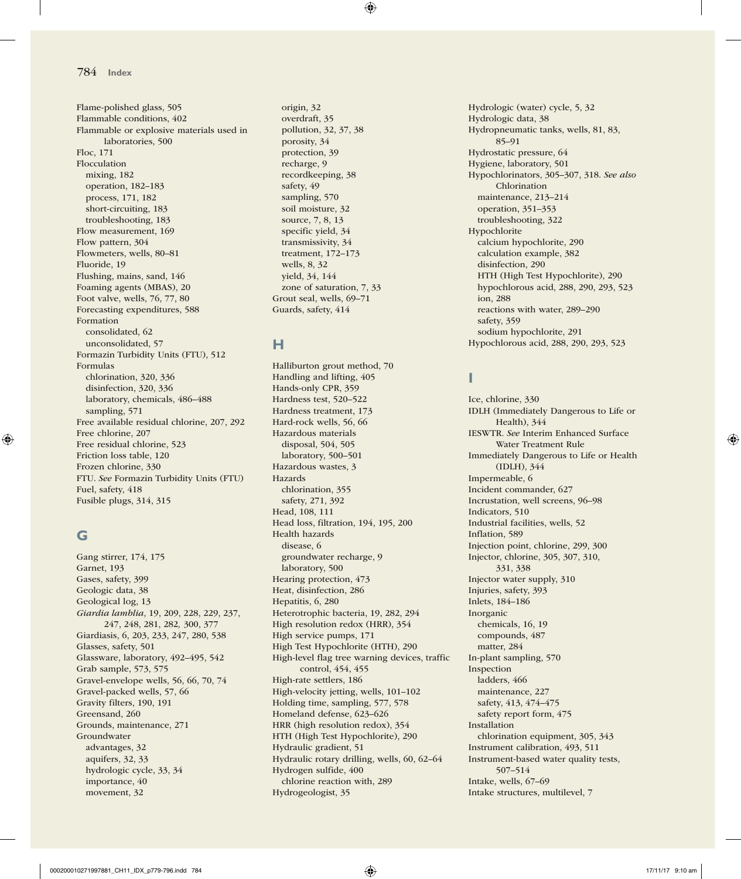Flame-polished glass, 505 Flammable conditions, 402 Flammable or explosive materials used in laboratories, 500 Floc, 171 Flocculation mixing, 182 operation, 182–183 process, 171, 182 short-circuiting, 183 troubleshooting, 183 Flow measurement, 169 Flow pattern, 304 Flowmeters, wells, 80–81 Fluoride, 19 Flushing, mains, sand, 146 Foaming agents (MBAS), 20 Foot valve, wells, 76, 77, 80 Forecasting expenditures, 588 Formation consolidated, 62 unconsolidated, 57 Formazin Turbidity Units (FTU), 512 Formulas chlorination, 320, 336 disinfection, 320, 336 laboratory, chemicals, 486–488 sampling, 571 Free available residual chlorine, 207, 292 Free chlorine, 207 Free residual chlorine, 523 Friction loss table, 120 Frozen chlorine, 330 FTU. *See* Formazin Turbidity Units (FTU) Fuel, safety, 418 Fusible plugs, 314, 315

### **G**

Gang stirrer, 174, 175 Garnet, 193 Gases, safety, 399 Geologic data, 38 Geological log, 13 *Giardia lamblia*, 19, 209, 228, 229, 237, 247, 248, 281, 282*,* 300, 377 Giardiasis, 6, 203, 233, 247, 280, 538 Glasses, safety, 501 Glassware, laboratory, 492–495, 542 Grab sample, 573, 575 Gravel-envelope wells, 56, 66, 70, 74 Gravel-packed wells, 57, 66 Gravity filters, 190, 191 Greensand, 260 Grounds, maintenance, 271 Groundwater advantages, 32 aquifers, 32, 33 hydrologic cycle, 33, 34 importance, 40 movement, 32

origin, 32 overdraft, 35 pollution, 32, 37, 38 porosity, 34 protection, 39 recharge, 9 recordkeeping, 38 safety, 49 sampling, 570 soil moisture, 32 source, 7, 8, 13 specific yield, 34 transmissivity, 34 treatment, 172–173 wells, 8, 32 yield, 34, 144 zone of saturation, 7, 33 Grout seal, wells, 69–71 Guards, safety, 414

# **H**

Halliburton grout method, 70 Handling and lifting, 405 Hands-only CPR, 359 Hardness test, 520–522 Hardness treatment, 173 Hard-rock wells, 56, 66 Hazardous materials disposal, 504, 505 laboratory, 500–501 Hazardous wastes, 3 Hazards chlorination, 355 safety, 271, 392 Head, 108, 111 Head loss, filtration, 194, 195, 200 Health hazards disease, 6 groundwater recharge, 9 laboratory, 500 Hearing protection, 473 Heat, disinfection, 286 Hepatitis, 6, 280 Heterotrophic bacteria, 19, 282, 294 High resolution redox (HRR), 354 High service pumps, 171 High Test Hypochlorite (HTH), 290 High-level flag tree warning devices, traffic control, 454, 455 High-rate settlers, 186 High-velocity jetting, wells, 101–102 Holding time, sampling, 577, 578 Homeland defense, 623–626 HRR (high resolution redox), 354 HTH (High Test Hypochlorite), 290 Hydraulic gradient, 51 Hydraulic rotary drilling, wells, 60, 62–64 Hydrogen sulfide, 400 chlorine reaction with, 289 Hydrogeologist, 35

Hydrologic (water) cycle, 5, 32 Hydrologic data, 38 Hydropneumatic tanks, wells, 81, 83, 85–91 Hydrostatic pressure, 64 Hygiene, laboratory, 501 Hypochlorinators, 305–307, 318. *See also* Chlorination maintenance, 213–214 operation, 351–353 troubleshooting, 322 Hypochlorite calcium hypochlorite, 290 calculation example, 382 disinfection, 290 HTH (High Test Hypochlorite), 290 hypochlorous acid, 288, 290, 293, 523 ion, 288 reactions with water, 289–290 safety, 359 sodium hypochlorite, 291 Hypochlorous acid, 288, 290, 293, 523

# **I**

Ice, chlorine, 330 IDLH (Immediately Dangerous to Life or Health), 344 IESWTR. *See* Interim Enhanced Surface Water Treatment Rule Immediately Dangerous to Life or Health (IDLH), 344 Impermeable, 6 Incident commander, 627 Incrustation, well screens, 96–98 Indicators, 510 Industrial facilities, wells, 52 Inflation, 589 Injection point, chlorine, 299, 300 Injector, chlorine, 305, 307, 310, 331, 338 Injector water supply, 310 Injuries, safety, 393 Inlets, 184–186 Inorganic chemicals, 16, 19 compounds, 487 matter, 284 In-plant sampling, 570 Inspection ladders, 466 maintenance, 227 safety, 413, 474–475 safety report form, 475 Installation chlorination equipment, 305, 343 Instrument calibration, 493, 511 Instrument-based water quality tests, 507–514 Intake, wells, 67–69 Intake structures, multilevel, 7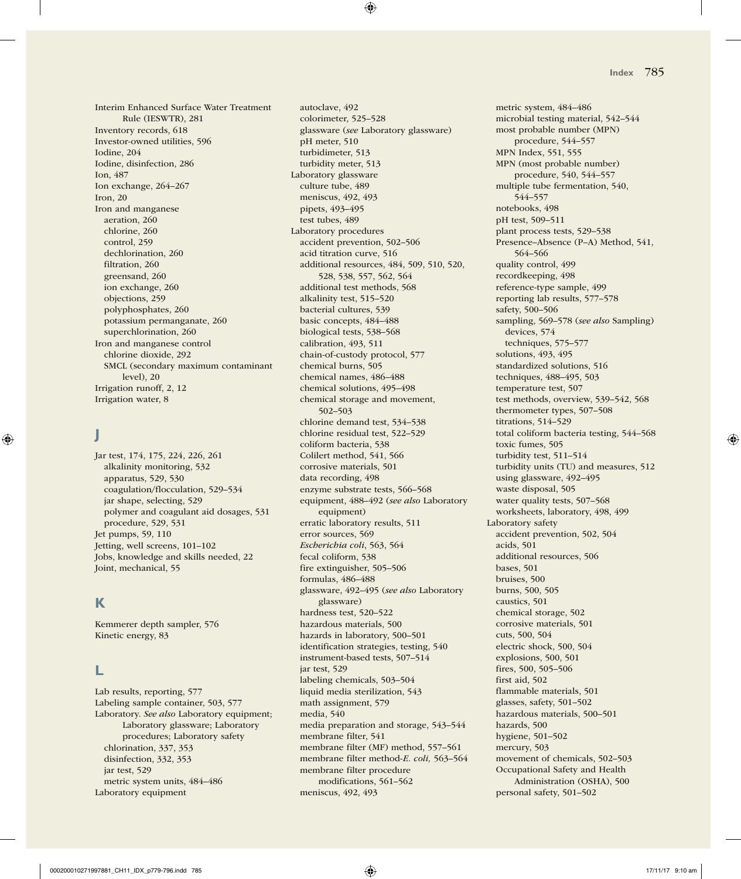Interim Enhanced Surface Water Treatment Rule (IESWTR), 281 Inventory records, 618 Investor-owned utilities, 596 Iodine, 204 Iodine, disinfection, 286 Ion, 487 Ion exchange, 264–267 Iron, 20 Iron and manganese aeration, 260 chlorine, 260 control, 259 dechlorination, 260 filtration, 260 greensand, 260 ion exchange, 260 objections, 259 polyphosphates, 260 potassium permanganate, 260 superchlorination, 260 Iron and manganese control chlorine dioxide, 292 SMCL (secondary maximum contaminant level), 20 Irrigation runoff, 2, 12 Irrigation water, 8

# **J**

Jar test, 174, 175, 224, 226, 261 alkalinity monitoring, 532 apparatus, 529, 530 coagulation/flocculation, 529–534 jar shape, selecting, 529 polymer and coagulant aid dosages, 531 procedure, 529, 531 Jet pumps, 59, 110 Jetting, well screens, 101–102 Jobs, knowledge and skills needed, 22 Joint, mechanical, 55

### **K**

Kemmerer depth sampler, 576 Kinetic energy, 83

### **L**

Lab results, reporting, 577 Labeling sample container, 503, 577 Laboratory. *See also* Laboratory equipment; Laboratory glassware; Laboratory procedures; Laboratory safety chlorination, 337, 353 disinfection, 332, 353 jar test, 529 metric system units, 484–486 Laboratory equipment

autoclave, 492 colorimeter, 525–528 glassware (*see* Laboratory glassware) pH meter, 510 turbidimeter, 513 turbidity meter, 513 Laboratory glassware culture tube, 489 meniscus, 492, 493 pipets, 493–495 test tubes, 489 Laboratory procedures accident prevention, 502–506 acid titration curve, 516 additional resources, 484, 509, 510, 520, 528, 538, 557, 562, 564 additional test methods, 568 alkalinity test, 515–520 bacterial cultures, 539 basic concepts, 484–488 biological tests, 538–568 calibration, 493, 511 chain-of-custody protocol, 577 chemical burns, 505 chemical names, 486–488 chemical solutions, 495–498 chemical storage and movement, 502–503 chlorine demand test, 534–538 chlorine residual test, 522–529 coliform bacteria, 538 Colilert method, 541, 566 corrosive materials, 501 data recording, 498 enzyme substrate tests, 566–568 equipment, 488–492 (*see also* Laboratory equipment) erratic laboratory results, 511 error sources, 569 *Escherichia coli*, 563, 564 fecal coliform, 538 fire extinguisher, 505–506 formulas, 486–488 glassware, 492–495 (*see also* Laboratory glassware) hardness test, 520–522 hazardous materials, 500 hazards in laboratory, 500–501 identification strategies, testing, 540 instrument-based tests, 507–514 jar test, 529 labeling chemicals, 503–504 liquid media sterilization, 543 math assignment, 579 media, 540 media preparation and storage, 543–544 membrane filter, 541 membrane filter (MF) method, 557–561 membrane filter method-*E. coli,* 563–564 membrane filter procedure modifications, 561–562 meniscus, 492, 493

metric system, 484–486 microbial testing material, 542–544 most probable number (MPN) procedure, 544–557 MPN Index, 551, 555 MPN (most probable number) procedure, 540, 544–557 multiple tube fermentation, 540, 544–557 notebooks, 498 pH test, 509–511 plant process tests, 529–538 Presence–Absence (P–A) Method, 541, 564–566 quality control, 499 recordkeeping, 498 reference-type sample, 499 reporting lab results, 577–578 safety, 500–506 sampling, 569–578 (*see also* Sampling) devices, 574 techniques, 575–577 solutions, 493, 495 standardized solutions, 516 techniques, 488–495, 503 temperature test, 507 test methods, overview, 539–542, 568 thermometer types, 507–508 titrations, 514–529 total coliform bacteria testing, 544–568 toxic fumes, 505 turbidity test, 511–514 turbidity units (TU) and measures, 512 using glassware, 492–495 waste disposal, 505 water quality tests, 507–568 worksheets, laboratory, 498, 499 Laboratory safety accident prevention, 502, 504 acids, 501 additional resources, 506 bases, 501 bruises, 500 burns, 500, 505 caustics, 501 chemical storage, 502 corrosive materials, 501 cuts, 500, 504 electric shock, 500, 504 explosions, 500, 501 fires, 500, 505–506 first aid, 502 flammable materials, 501 glasses, safety, 501–502 hazardous materials, 500–501 hazards, 500 hygiene, 501–502 mercury, 503 movement of chemicals, 502–503 Occupational Safety and Health Administration (OSHA), 500 personal safety, 501–502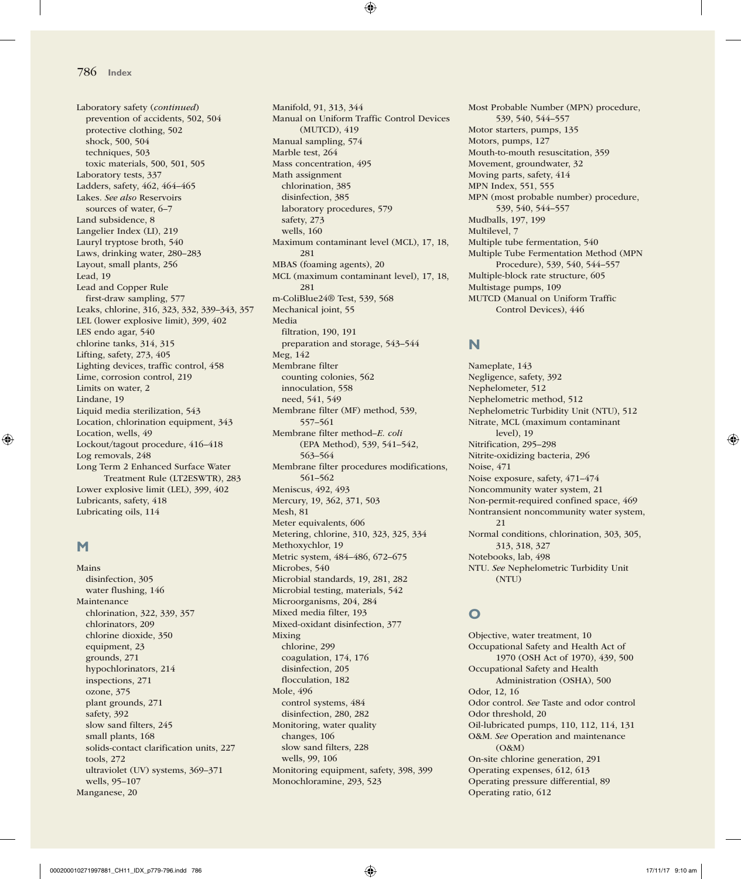Laboratory safety (*continued*) prevention of accidents, 502, 504 protective clothing, 502 shock, 500, 504 techniques, 503 toxic materials, 500, 501, 505 Laboratory tests, 337 Ladders, safety, 462, 464–465 Lakes. *See also* Reservoirs sources of water, 6–7 Land subsidence, 8 Langelier Index (LI), 219 Lauryl tryptose broth, 540 Laws, drinking water, 280–283 Layout, small plants, 256 Lead, 19 Lead and Copper Rule first-draw sampling, 577 Leaks, chlorine, 316, 323, 332, 339–343, 357 LEL (lower explosive limit), 399, 402 LES endo agar, 540 chlorine tanks, 314, 315 Lifting, safety, 273, 405 Lighting devices, traffic control, 458 Lime, corrosion control, 219 Limits on water, 2 Lindane, 19 Liquid media sterilization, 543 Location, chlorination equipment, 343 Location, wells, 49 Lockout/tagout procedure, 416–418 Log removals, 248 Long Term 2 Enhanced Surface Water Treatment Rule (LT2ESWTR), 283 Lower explosive limit (LEL), 399, 402 Lubricants, safety, 418 Lubricating oils, 114

### **M**

Mains disinfection, 305 water flushing, 146 Maintenance chlorination, 322, 339, 357 chlorinators, 209 chlorine dioxide, 350 equipment, 23 grounds, 271 hypochlorinators, 214 inspections, 271 ozone, 375 plant grounds, 271 safety, 392 slow sand filters, 245 small plants, 168 solids-contact clarification units, 227 tools, 272 ultraviolet (UV) systems, 369–371 wells, 95–107 Manganese, 20

Manifold, 91, 313, 344 Manual on Uniform Traffic Control Devices (MUTCD), 419 Manual sampling, 574 Marble test, 264 Mass concentration, 495 Math assignment chlorination, 385 disinfection, 385 laboratory procedures, 579 safety, 273 wells, 160 Maximum contaminant level (MCL), 17, 18, 281 MBAS (foaming agents), 20 MCL (maximum contaminant level), 17, 18, 281 m-ColiBlue24® Test, 539, 568 Mechanical joint, 55 Media filtration, 190, 191 preparation and storage, 543–544 Meg, 142 Membrane filter counting colonies, 562 innoculation, 558 need, 541, 549 Membrane filter (MF) method, 539, 557–561 Membrane filter method–*E. coli* (EPA Method), 539, 541–542, 563–564 Membrane filter procedures modifications, 561–562 Meniscus, 492, 493 Mercury, 19, 362, 371, 503 Mesh, 81 Meter equivalents, 606 Metering, chlorine, 310, 323, 325, 334 Methoxychlor, 19 Metric system, 484–486, 672–675 Microbes, 540 Microbial standards, 19, 281, 282 Microbial testing, materials, 542 Microorganisms, 204, 284 Mixed media filter, 193 Mixed-oxidant disinfection, 377 Mixing chlorine, 299 coagulation, 174, 176 disinfection, 205 flocculation, 182 Mole, 496 control systems, 484 disinfection, 280, 282 Monitoring, water quality changes, 106 slow sand filters, 228

wells, 99, 106

Monochloramine, 293, 523

Monitoring equipment, safety, 398, 399

Most Probable Number (MPN) procedure, 539, 540, 544–557 Motor starters, pumps, 135 Motors, pumps, 127 Mouth-to-mouth resuscitation, 359 Movement, groundwater, 32 Moving parts, safety, 414 MPN Index, 551, 555 MPN (most probable number) procedure, 539, 540, 544–557 Mudballs, 197, 199 Multilevel, 7 Multiple tube fermentation, 540 Multiple Tube Fermentation Method (MPN Procedure), 539, 540, 544–557 Multiple-block rate structure, 605 Multistage pumps, 109 MUTCD (Manual on Uniform Traffic Control Devices), 446

### **N**

Nameplate, 143 Negligence, safety, 392 Nephelometer, 512 Nephelometric method, 512 Nephelometric Turbidity Unit (NTU), 512 Nitrate, MCL (maximum contaminant level), 19 Nitrification, 295–298 Nitrite-oxidizing bacteria, 296 Noise, 471 Noise exposure, safety, 471–474 Noncommunity water system, 21 Non-permit-required confined space, 469 Nontransient noncommunity water system, 21 Normal conditions, chlorination, 303, 305, 313, 318, 327 Notebooks, lab, 498 NTU. *See* Nephelometric Turbidity Unit (NTU)

# **O**

Objective, water treatment, 10 Occupational Safety and Health Act of 1970 (OSH Act of 1970), 439, 500 Occupational Safety and Health Administration (OSHA), 500 Odor, 12, 16 Odor control. *See* Taste and odor control Odor threshold, 20 Oil-lubricated pumps, 110, 112, 114, 131 O&M. *See* Operation and maintenance (O&M) On-site chlorine generation, 291 Operating expenses, 612, 613 Operating pressure differential, 89 Operating ratio, 612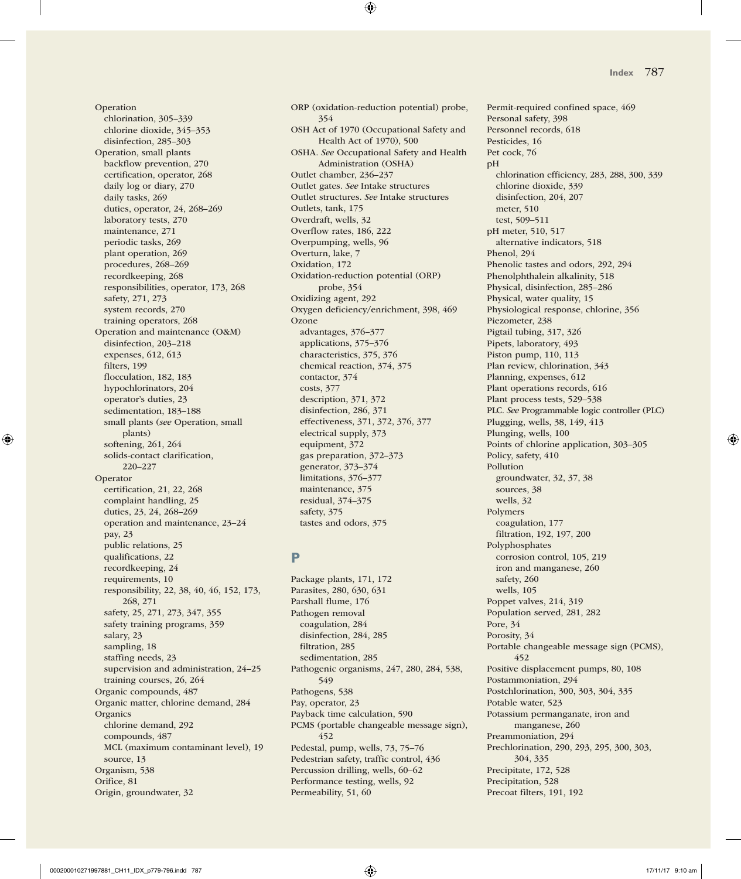Operation chlorination, 305–339 chlorine dioxide, 345–353 disinfection, 285–303 Operation, small plants backflow prevention, 270 certification, operator, 268 daily log or diary, 270 daily tasks, 269 duties, operator, 24, 268–269 laboratory tests, 270 maintenance, 271 periodic tasks, 269 plant operation, 269 procedures, 268–269 recordkeeping, 268 responsibilities, operator, 173, 268 safety, 271, 273 system records, 270 training operators, 268 Operation and maintenance (O&M) disinfection, 203–218 expenses, 612, 613 filters, 199 flocculation, 182, 183 hypochlorinators, 204 operator's duties, 23 sedimentation, 183–188 small plants (*see* Operation, small plants) softening, 261, 264 solids-contact clarification, 220–227 Operator certification, 21, 22, 268 complaint handling, 25 duties, 23, 24, 268–269 operation and maintenance, 23–24 pay, 23 public relations, 25 qualifications, 22 recordkeeping, 24 requirements, 10 responsibility, 22, 38, 40, 46, 152, 173, 268, 271 safety, 25, 271, 273, 347, 355 safety training programs, 359 salary, 23 sampling, 18 staffing needs, 23 supervision and administration, 24–25 training courses, 26, 264 Organic compounds, 487 Organic matter, chlorine demand, 284 Organics chlorine demand, 292 compounds, 487 MCL (maximum contaminant level), 19 source, 13 Organism, 538 Orifice, 81 Origin, groundwater, 32

ORP (oxidation-reduction potential) probe, 354 OSH Act of 1970 (Occupational Safety and Health Act of 1970), 500 OSHA. *See* Occupational Safety and Health Administration (OSHA) Outlet chamber, 236–237 Outlet gates. *See* Intake structures Outlet structures. *See* Intake structures Outlets, tank, 175 Overdraft, wells, 32 Overflow rates, 186, 222 Overpumping, wells, 96 Overturn, lake, 7 Oxidation, 172 Oxidation-reduction potential (ORP) probe, 354 Oxidizing agent, 292 Oxygen deficiency/enrichment, 398, 469 **Ozone** advantages, 376–377 applications, 375–376 characteristics, 375, 376 chemical reaction, 374, 375 contactor, 374 costs, 377 description, 371, 372 disinfection, 286, 371 effectiveness, 371, 372, 376, 377 electrical supply, 373 equipment, 372 gas preparation, 372–373 generator, 373–374 limitations, 376–377 maintenance, 375 residual, 374–375 safety, 375 tastes and odors, 375

## **P**

Package plants, 171, 172 Parasites, 280, 630, 631 Parshall flume, 176 Pathogen removal coagulation, 284 disinfection, 284, 285 filtration, 285 sedimentation, 285 Pathogenic organisms, 247, 280, 284, 538, 549 Pathogens, 538 Pay, operator, 23 Payback time calculation, 590 PCMS (portable changeable message sign), 452 Pedestal, pump, wells, 73, 75–76 Pedestrian safety, traffic control, 436 Percussion drilling, wells, 60–62 Performance testing, wells, 92 Permeability, 51, 60

Permit-required confined space, 469 Personal safety, 398 Personnel records, 618 Pesticides, 16 Pet cock, 76 pH chlorination efficiency, 283, 288, 300, 339 chlorine dioxide, 339 disinfection, 204, 207 meter, 510 test, 509–511 pH meter, 510, 517 alternative indicators, 518 Phenol, 294 Phenolic tastes and odors, 292, 294 Phenolphthalein alkalinity, 518 Physical, disinfection, 285–286 Physical, water quality, 15 Physiological response, chlorine, 356 Piezometer, 238 Pigtail tubing, 317, 326 Pipets, laboratory, 493 Piston pump, 110, 113 Plan review, chlorination, 343 Planning, expenses, 612 Plant operations records, 616 Plant process tests, 529–538 PLC. *See* Programmable logic controller (PLC) Plugging, wells, 38, 149, 413 Plunging, wells, 100 Points of chlorine application, 303–305 Policy, safety, 410 Pollution groundwater, 32, 37, 38 sources, 38 wells, 32 Polymers coagulation, 177 filtration, 192, 197, 200 Polyphosphates corrosion control, 105, 219 iron and manganese, 260 safety, 260 wells, 105 Poppet valves, 214, 319 Population served, 281, 282 Pore, 34 Porosity, 34 Portable changeable message sign (PCMS), 452 Positive displacement pumps, 80, 108 Postammoniation, 294 Postchlorination, 300, 303, 304, 335 Potable water, 523 Potassium permanganate, iron and manganese, 260 Preammoniation, 294 Prechlorination, 290, 293, 295, 300, 303, 304, 335 Precipitate, 172, 528 Precipitation, 528 Precoat filters, 191, 192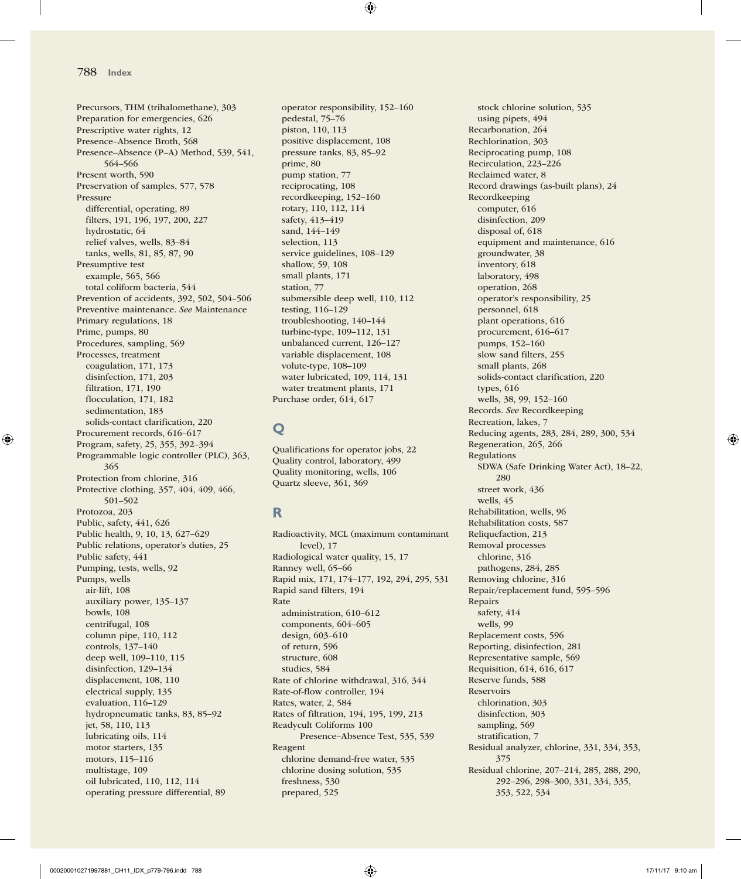Precursors, THM (trihalomethane), 303 Preparation for emergencies, 626 Prescriptive water rights, 12 Presence–Absence Broth, 568 Presence–Absence (P–A) Method, 539, 541, 564–566 Present worth, 590 Preservation of samples, 577, 578 Pressure differential, operating, 89 filters, 191, 196, 197, 200, 227 hydrostatic, 64 relief valves, wells, 83–84 tanks, wells, 81, 85, 87, 90 Presumptive test example, 565, 566 total coliform bacteria, 544 Prevention of accidents, 392, 502, 504–506 Preventive maintenance. *See* Maintenance Primary regulations, 18 Prime, pumps, 80 Procedures, sampling, 569 Processes, treatment coagulation, 171, 173 disinfection, 171, 203 filtration, 171, 190 flocculation, 171, 182 sedimentation, 183 solids-contact clarification, 220 Procurement records, 616–617 Program, safety, 25, 355, 392–394 Programmable logic controller (PLC), 363, 365 Protection from chlorine, 316 Protective clothing, 357, 404, 409, 466, 501–502 Protozoa, 203 Public, safety, 441, 626 Public health, 9, 10, 13, 627–629 Public relations, operator's duties, 25 Public safety, 441 Pumping, tests, wells, 92 Pumps, wells air-lift, 108 auxiliary power, 135–137 bowls, 108 centrifugal, 108 column pipe, 110, 112 controls, 137–140 deep well, 109–110, 115 disinfection, 129–134 displacement, 108, 110 electrical supply, 135 evaluation, 116–129 hydropneumatic tanks, 83, 85–92 jet, 58, 110, 113 lubricating oils, 114 motor starters, 135 motors, 115–116 multistage, 109 oil lubricated, 110, 112, 114 operating pressure differential, 89

operator responsibility, 152–160 pedestal, 75–76 piston, 110, 113 positive displacement, 108 pressure tanks, 83, 85–92 prime, 80 pump station, 77 reciprocating, 108 recordkeeping, 152–160 rotary, 110, 112, 114 safety, 413–419 sand, 144–149 selection, 113 service guidelines, 108–129 shallow, 59, 108 small plants, 171 station, 77 submersible deep well, 110, 112 testing, 116–129 troubleshooting, 140–144 turbine-type, 109–112, 131 unbalanced current, 126–127 variable displacement, 108 volute-type, 108–109 water lubricated, 109, 114, 131 water treatment plants, 171 Purchase order, 614, 617

# **Q**

Qualifications for operator jobs, 22 Quality control, laboratory, 499 Quality monitoring, wells, 106 Quartz sleeve, 361, 369

# **R**

Radioactivity, MCL (maximum contaminant level), 17 Radiological water quality, 15, 17 Ranney well, 65–66 Rapid mix, 171, 174–177, 192, 294, 295, 531 Rapid sand filters, 194 Rate administration, 610–612 components, 604–605 design, 603–610 of return, 596 structure, 608 studies, 584 Rate of chlorine withdrawal, 316, 344 Rate-of-flow controller, 194 Rates, water, 2, 584 Rates of filtration, 194, 195, 199, 213 Readycult Coliforms 100 Presence–Absence Test, 535, 539 Reagent chlorine demand-free water, 535 chlorine dosing solution, 535 freshness, 530 prepared, 525

stock chlorine solution, 535 using pipets, 494 Recarbonation, 264 Rechlorination, 303 Reciprocating pump, 108 Recirculation, 223–226 Reclaimed water, 8 Record drawings (as-built plans), 24 Recordkeeping computer, 616 disinfection, 209 disposal of, 618 equipment and maintenance, 616 groundwater, 38 inventory, 618 laboratory, 498 operation, 268 operator's responsibility, 25 personnel, 618 plant operations, 616 procurement, 616–617 pumps, 152–160 slow sand filters, 255 small plants, 268 solids-contact clarification, 220 types, 616 wells, 38, 99, 152–160 Records. *See* Recordkeeping Recreation, lakes, 7 Reducing agents, 283, 284, 289, 300, 534 Regeneration, 265, 266 Regulations SDWA (Safe Drinking Water Act), 18–22, 280 street work, 436 wells, 45 Rehabilitation, wells, 96 Rehabilitation costs, 587 Reliquefaction, 213 Removal processes chlorine, 316 pathogens, 284, 285 Removing chlorine, 316 Repair/replacement fund, 595–596 Repairs safety, 414 wells, 99 Replacement costs, 596 Reporting, disinfection, 281 Representative sample, 569 Requisition, 614, 616, 617 Reserve funds, 588 Reservoirs chlorination, 303 disinfection, 303 sampling, 569 stratification, 7 Residual analyzer, chlorine, 331, 334, 353, 375 Residual chlorine, 207–214, 285, 288, 290, 292–296, 298–300, 331, 334, 335, 353, 522, 534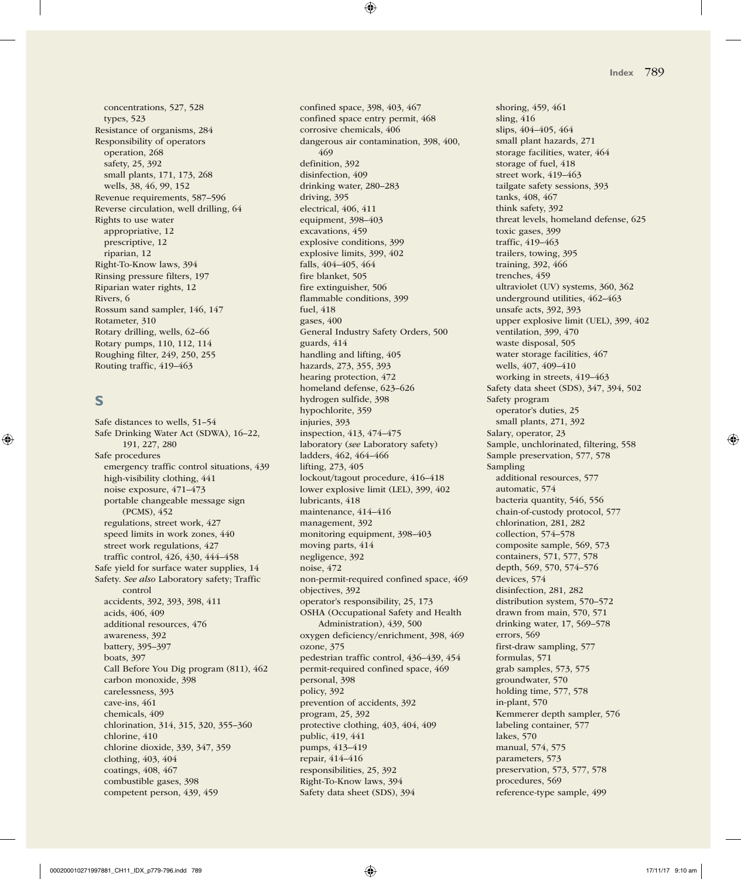concentrations, 527, 528 types, 523 Resistance of organisms, 284 Responsibility of operators operation, 268 safety, 25, 392 small plants, 171, 173, 268 wells, 38, 46, 99, 152 Revenue requirements, 587–596 Reverse circulation, well drilling, 64 Rights to use water appropriative, 12 prescriptive, 12 riparian, 12 Right-To-Know laws, 394 Rinsing pressure filters, 197 Riparian water rights, 12 Rivers, 6 Rossum sand sampler, 146, 147 Rotameter, 310 Rotary drilling, wells, 62–66 Rotary pumps, 110, 112, 114 Roughing filter, 249, 250, 255 Routing traffic, 419–463

### **S**

Safe distances to wells, 51–54 Safe Drinking Water Act (SDWA), 16–22, 191, 227, 280 Safe procedures emergency traffic control situations, 439 high-visibility clothing, 441 noise exposure, 471–473 portable changeable message sign (PCMS), 452 regulations, street work, 427 speed limits in work zones, 440 street work regulations, 427 traffic control, 426, 430, 444–458 Safe yield for surface water supplies, 14 Safety. *See also* Laboratory safety; Traffic control accidents, 392, 393, 398, 411 acids, 406, 409 additional resources, 476 awareness, 392 battery, 395–397 boats, 397 Call Before You Dig program (811), 462 carbon monoxide, 398 carelessness, 393 cave-ins, 461 chemicals, 409 chlorination, 314, 315, 320, 355–360 chlorine, 410 chlorine dioxide, 339, 347, 359 clothing, 403, 404 coatings, 408, 467 combustible gases, 398 competent person, 439, 459

confined space, 398, 403, 467 confined space entry permit, 468 corrosive chemicals, 406 dangerous air contamination, 398, 400, 469 definition, 392 disinfection, 409 drinking water, 280–283 driving, 395 electrical, 406, 411 equipment, 398–403 excavations, 459 explosive conditions, 399 explosive limits, 399, 402 falls, 404–405, 464 fire blanket, 505 fire extinguisher, 506 flammable conditions, 399 fuel, 418 gases, 400 General Industry Safety Orders, 500 guards, 414 handling and lifting, 405 hazards, 273, 355, 393 hearing protection, 472 homeland defense, 623–626 hydrogen sulfide, 398 hypochlorite, 359 injuries, 393 inspection, 413, 474–475 laboratory (*see* Laboratory safety) ladders, 462, 464–466 lifting, 273, 405 lockout/tagout procedure, 416–418 lower explosive limit (LEL), 399, 402 lubricants, 418 maintenance, 414–416 management, 392 monitoring equipment, 398–403 moving parts, 414 negligence, 392 noise, 472 non-permit-required confined space, 469 objectives, 392 operator's responsibility, 25, 173 OSHA (Occupational Safety and Health Administration), 439, 500 oxygen deficiency/enrichment, 398, 469 ozone, 375 pedestrian traffic control, 436–439, 454 permit-required confined space, 469 personal, 398 policy, 392 prevention of accidents, 392 program, 25, 392 protective clothing, 403, 404, 409 public, 419, 441 pumps, 413–419 repair, 414–416 responsibilities, 25, 392 Right-To-Know laws, 394 Safety data sheet (SDS), 394

shoring, 459, 461 sling, 416 slips, 404–405, 464 small plant hazards, 271 storage facilities, water, 464 storage of fuel, 418 street work, 419–463 tailgate safety sessions, 393 tanks, 408, 467 think safety, 392 threat levels, homeland defense, 625 toxic gases, 399 traffic, 419–463 trailers, towing, 395 training, 392, 466 trenches, 459 ultraviolet (UV) systems, 360, 362 underground utilities, 462–463 unsafe acts, 392, 393 upper explosive limit (UEL), 399, 402 ventilation, 399, 470 waste disposal, 505 water storage facilities, 467 wells, 407, 409–410 working in streets, 419–463 Safety data sheet (SDS), 347, 394, 502 Safety program operator's duties, 25 small plants, 271, 392 Salary, operator, 23 Sample, unchlorinated, filtering, 558 Sample preservation, 577, 578 Sampling additional resources, 577 automatic, 574 bacteria quantity, 546, 556 chain-of-custody protocol, 577 chlorination, 281, 282 collection, 574–578 composite sample, 569, 573 containers, 571, 577, 578 depth, 569, 570, 574–576 devices, 574 disinfection, 281, 282 distribution system, 570–572 drawn from main, 570, 571 drinking water, 17, 569–578 errors, 569 first-draw sampling, 577 formulas, 571 grab samples, 573, 575 groundwater, 570 holding time, 577, 578 in-plant, 570 Kemmerer depth sampler, 576 labeling container, 577 lakes, 570 manual, 574, 575 parameters, 573 preservation, 573, 577, 578 procedures, 569 reference-type sample, 499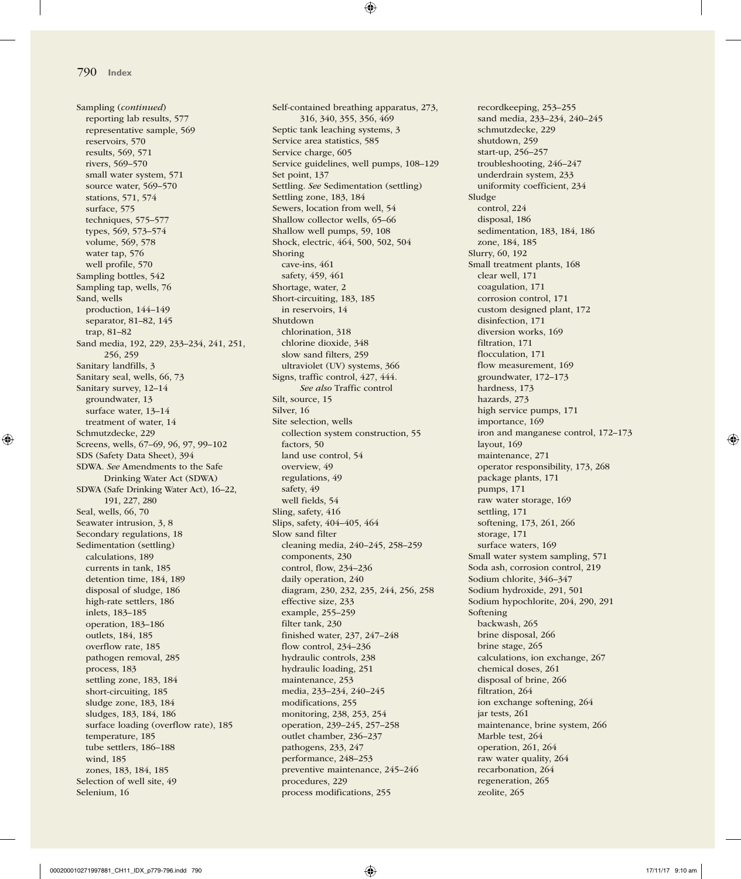Sampling (*continued*) reporting lab results, 577 representative sample, 569 reservoirs, 570 results, 569, 571 rivers, 569–570 small water system, 571 source water, 569–570 stations, 571, 574 surface, 575 techniques, 575–577 types, 569, 573–574 volume, 569, 578 water tap, 576 well profile, 570 Sampling bottles, 542 Sampling tap, wells, 76 Sand, wells production, 144–149 separator, 81–82, 145 trap, 81–82 Sand media, 192, 229, 233–234, 241, 251, 256, 259 Sanitary landfills, 3 Sanitary seal, wells, 66, 73 Sanitary survey, 12–14 groundwater, 13 surface water, 13–14 treatment of water, 14 Schmutzdecke, 229 Screens, wells, 67–69, 96, 97, 99–102 SDS (Safety Data Sheet), 394 SDWA. *See* Amendments to the Safe Drinking Water Act (SDWA) SDWA (Safe Drinking Water Act), 16–22, 191, 227, 280 Seal, wells, 66, 70 Seawater intrusion, 3, 8 Secondary regulations, 18 Sedimentation (settling) calculations, 189 currents in tank, 185 detention time, 184, 189 disposal of sludge, 186 high-rate settlers, 186 inlets, 183–185 operation, 183–186 outlets, 184, 185 overflow rate, 185 pathogen removal, 285 process, 183 settling zone, 183, 184 short-circuiting, 185 sludge zone, 183, 184 sludges, 183, 184, 186 surface loading (overflow rate), 185 temperature, 185 tube settlers, 186–188 wind, 185 zones, 183, 184, 185 Selection of well site, 49 Selenium, 16

Self-contained breathing apparatus, 273, 316, 340, 355, 356, 469 Septic tank leaching systems, 3 Service area statistics, 585 Service charge, 605 Service guidelines, well pumps, 108–129 Set point, 137 Settling. *See* Sedimentation (settling) Settling zone, 183, 184 Sewers, location from well, 54 Shallow collector wells, 65–66 Shallow well pumps, 59, 108 Shock, electric, 464, 500, 502, 504 Shoring cave-ins, 461 safety, 459, 461 Shortage, water, 2 Short-circuiting, 183, 185 in reservoirs, 14 Shutdown chlorination, 318 chlorine dioxide, 348 slow sand filters, 259 ultraviolet (UV) systems, 366 Signs, traffic control, 427, 444. *See also* Traffic control Silt, source, 15 Silver, 16 Site selection, wells collection system construction, 55 factors, 50 land use control, 54 overview, 49 regulations, 49 safety, 49 well fields, 54 Sling, safety, 416 Slips, safety, 404–405, 464 Slow sand filter cleaning media, 240–245, 258–259 components, 230 control, flow, 234–236 daily operation, 240 diagram, 230, 232, 235, 244, 256, 258 effective size, 233 example, 255–259 filter tank, 230 finished water, 237, 247–248 flow control, 234–236 hydraulic controls, 238 hydraulic loading, 251 maintenance, 253 media, 233–234, 240–245 modifications, 255 monitoring, 238, 253, 254 operation, 239–245, 257–258 outlet chamber, 236–237 pathogens, 233, 247 performance, 248–253 preventive maintenance, 245–246 procedures, 229 process modifications, 255

recordkeeping, 253–255 sand media, 233–234, 240–245 schmutzdecke, 229 shutdown, 259 start-up, 256–257 troubleshooting, 246–247 underdrain system, 233 uniformity coefficient, 234 Sludge control, 224 disposal, 186 sedimentation, 183, 184, 186 zone, 184, 185 Slurry, 60, 192 Small treatment plants, 168 clear well, 171 coagulation, 171 corrosion control, 171 custom designed plant, 172 disinfection, 171 diversion works, 169 filtration, 171 flocculation, 171 flow measurement, 169 groundwater, 172–173 hardness, 173 hazards, 273 high service pumps, 171 importance, 169 iron and manganese control, 172–173 layout, 169 maintenance, 271 operator responsibility, 173, 268 package plants, 171 pumps, 171 raw water storage, 169 settling, 171 softening, 173, 261, 266 storage, 171 surface waters, 169 Small water system sampling, 571 Soda ash, corrosion control, 219 Sodium chlorite, 346–347 Sodium hydroxide, 291, 501 Sodium hypochlorite, 204, 290, 291 Softening backwash, 265 brine disposal, 266 brine stage, 265 calculations, ion exchange, 267 chemical doses, 261 disposal of brine, 266 filtration, 264 ion exchange softening, 264 jar tests, 261 maintenance, brine system, 266 Marble test, 264 operation, 261, 264 raw water quality, 264 recarbonation, 264 regeneration, 265 zeolite, 265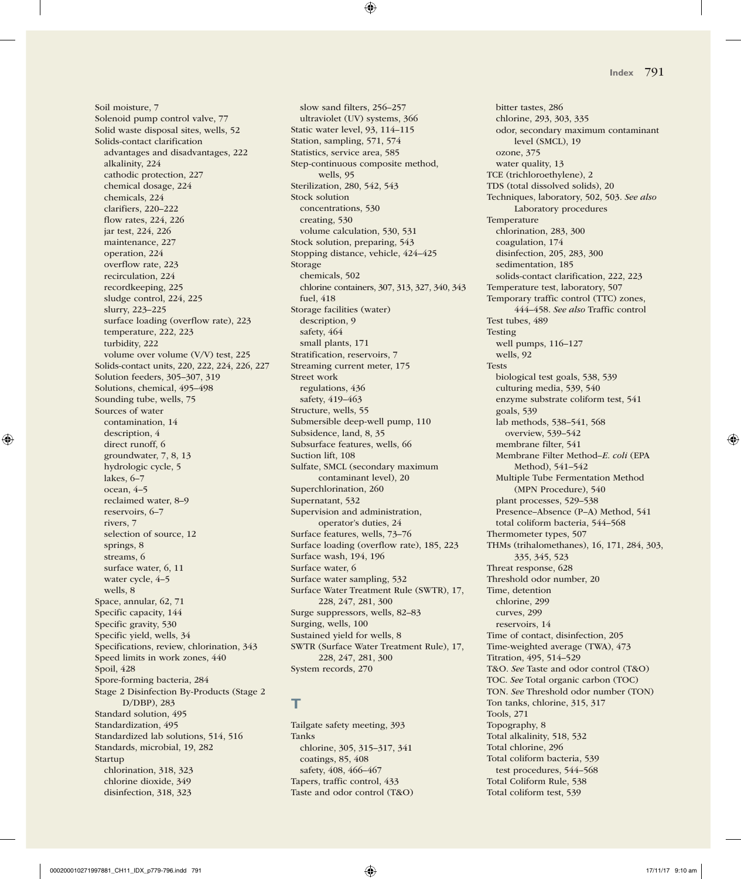Soil moisture, 7 Solenoid pump control valve, 77 Solid waste disposal sites, wells, 52 Solids-contact clarification advantages and disadvantages, 222 alkalinity, 224 cathodic protection, 227 chemical dosage, 224 chemicals, 224 clarifiers, 220–222 flow rates, 224, 226 jar test, 224, 226 maintenance, 227 operation, 224 overflow rate, 223 recirculation, 224 recordkeeping, 225 sludge control, 224, 225 slurry, 223–225 surface loading (overflow rate), 223 temperature, 222, 223 turbidity, 222 volume over volume (V/V) test, 225 Solids-contact units, 220, 222, 224, 226, 227 Solution feeders, 305–307, 319 Solutions, chemical, 495–498 Sounding tube, wells, 75 Sources of water contamination, 14 description, 4 direct runoff, 6 groundwater, 7, 8, 13 hydrologic cycle, 5 lakes, 6–7 ocean, 4–5 reclaimed water, 8–9 reservoirs, 6–7 rivers, 7 selection of source, 12 springs, 8 streams, 6 surface water, 6, 11 water cycle, 4–5 wells, 8 Space, annular, 62, 71 Specific capacity, 144 Specific gravity, 530 Specific yield, wells, 34 Specifications, review, chlorination, 343 Speed limits in work zones, 440 Spoil, 428 Spore-forming bacteria, 284 Stage 2 Disinfection By-Products (Stage 2 D/DBP), 283 Standard solution, 495 Standardization, 495 Standardized lab solutions, 514, 516 Standards, microbial, 19, 282 Startup chlorination, 318, 323 chlorine dioxide, 349 disinfection, 318, 323

slow sand filters, 256–257 ultraviolet (UV) systems, 366 Static water level, 93, 114–115 Station, sampling, 571, 574 Statistics, service area, 585 Step-continuous composite method, wells, 95 Sterilization, 280, 542, 543 Stock solution concentrations, 530 creating, 530 volume calculation, 530, 531 Stock solution, preparing, 543 Stopping distance, vehicle, 424–425 Storage chemicals, 502 chlorine containers, 307, 313, 327, 340, 343 fuel, 418 Storage facilities (water) description, 9 safety, 464 small plants, 171 Stratification, reservoirs, 7 Streaming current meter, 175 Street work regulations, 436 safety, 419–463 Structure, wells, 55 Submersible deep-well pump, 110 Subsidence, land, 8, 35 Subsurface features, wells, 66 Suction lift, 108 Sulfate, SMCL (secondary maximum contaminant level), 20 Superchlorination, 260 Supernatant, 532 Supervision and administration, operator's duties, 24 Surface features, wells, 73–76 Surface loading (overflow rate), 185, 223 Surface wash, 194, 196 Surface water, 6 Surface water sampling, 532 Surface Water Treatment Rule (SWTR), 17, 228, 247, 281, 300 Surge suppressors, wells, 82–83 Surging, wells, 100 Sustained yield for wells, 8 SWTR (Surface Water Treatment Rule), 17, 228, 247, 281, 300 System records, 270

## **T**

Tailgate safety meeting, 393 Tanks chlorine, 305, 315–317, 341 coatings, 85, 408 safety, 408, 466–467 Tapers, traffic control, 433 Taste and odor control (T&O)

bitter tastes, 286 chlorine, 293, 303, 335 odor, secondary maximum contaminant level (SMCL), 19 ozone, 375 water quality, 13 TCE (trichloroethylene), 2 TDS (total dissolved solids), 20 Techniques, laboratory, 502, 503. *See also* Laboratory procedures Temperature chlorination, 283, 300 coagulation, 174 disinfection, 205, 283, 300 sedimentation, 185 solids-contact clarification, 222, 223 Temperature test, laboratory, 507 Temporary traffic control (TTC) zones, 444–458. *See also* Traffic control Test tubes, 489 Testing well pumps, 116–127 wells, 92 Tests biological test goals, 538, 539 culturing media, 539, 540 enzyme substrate coliform test, 541 goals, 539 lab methods, 538–541, 568 overview, 539–542 membrane filter, 541 Membrane Filter Method–*E. coli* (EPA Method), 541–542 Multiple Tube Fermentation Method (MPN Procedure), 540 plant processes, 529–538 Presence–Absence (P–A) Method, 541 total coliform bacteria, 544–568 Thermometer types, 507 THMs (trihalomethanes), 16, 171, 284, 303, 335, 345, 523 Threat response, 628 Threshold odor number, 20 Time, detention chlorine, 299 curves, 299 reservoirs, 14 Time of contact, disinfection, 205 Time-weighted average (TWA), 473 Titration, 495, 514–529 T&O. *See* Taste and odor control (T&O) TOC. *See* Total organic carbon (TOC) TON. *See* Threshold odor number (TON) Ton tanks, chlorine, 315, 317 Tools, 271 Topography, 8 Total alkalinity, 518, 532 Total chlorine, 296 Total coliform bacteria, 539 test procedures, 544–568 Total Coliform Rule, 538 Total coliform test, 539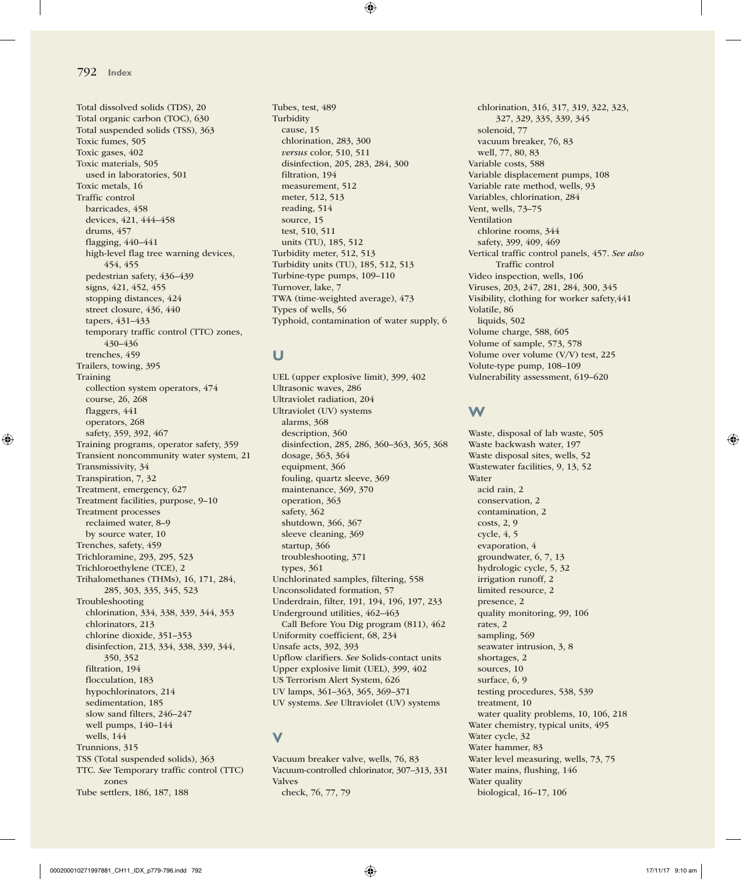Total dissolved solids (TDS), 20 Total organic carbon (TOC), 630 Total suspended solids (TSS), 363 Toxic fumes, 505 Toxic gases, 402 Toxic materials, 505 used in laboratories, 501 Toxic metals, 16 Traffic control barricades, 458 devices, 421, 444–458 drums, 457 flagging, 440–441 high-level flag tree warning devices, 454, 455 pedestrian safety, 436–439 signs, 421, 452, 455 stopping distances, 424 street closure, 436, 440 tapers, 431–433 temporary traffic control (TTC) zones, 430–436 trenches, 459 Trailers, towing, 395 Training collection system operators, 474 course, 26, 268 flaggers, 441 operators, 268 safety, 359, 392, 467 Training programs, operator safety, 359 Transient noncommunity water system, 21 Transmissivity, 34 Transpiration, 7, 32 Treatment, emergency, 627 Treatment facilities, purpose, 9–10 Treatment processes reclaimed water, 8–9 by source water, 10 Trenches, safety, 459 Trichloramine, 293, 295, 523 Trichloroethylene (TCE), 2 Trihalomethanes (THMs), 16, 171, 284, 285, 303, 335, 345, 523 Troubleshooting chlorination, 334, 338, 339, 344, 353 chlorinators, 213 chlorine dioxide, 351–353 disinfection, 213, 334, 338, 339, 344, 350, 352 filtration, 194 flocculation, 183 hypochlorinators, 214 sedimentation, 185 slow sand filters, 246–247 well pumps, 140–144 wells, 144 Trunnions, 315 TSS (Total suspended solids), 363 TTC. *See* Temporary traffic control (TTC) zones Tube settlers, 186, 187, 188

Tubes, test, 489 Turbidity cause, 15 chlorination, 283, 300 *versus* color, 510, 511 disinfection, 205, 283, 284, 300 filtration, 194 measurement, 512 meter, 512, 513 reading, 514 source, 15 test, 510, 511 units (TU), 185, 512 Turbidity meter, 512, 513 Turbidity units (TU), 185, 512, 513 Turbine-type pumps, 109–110 Turnover, lake, 7 TWA (time-weighted average), 473 Types of wells, 56 Typhoid, contamination of water supply, 6

### **U**

UEL (upper explosive limit), 399, 402 Ultrasonic waves, 286 Ultraviolet radiation, 204 Ultraviolet (UV) systems alarms, 368 description, 360 disinfection, 285, 286, 360–363, 365, 368 dosage, 363, 364 equipment, 366 fouling, quartz sleeve, 369 maintenance, 369, 370 operation, 363 safety, 362 shutdown, 366, 367 sleeve cleaning, 369 startup, 366 troubleshooting, 371 types, 361 Unchlorinated samples, filtering, 558 Unconsolidated formation, 57 Underdrain, filter, 191, 194, 196, 197, 233 Underground utilities, 462–463 Call Before You Dig program (811), 462 Uniformity coefficient, 68, 234 Unsafe acts, 392, 393 Upflow clarifiers. *See* Solids-contact units Upper explosive limit (UEL), 399, 402 US Terrorism Alert System, 626 UV lamps, 361–363, 365, 369–371 UV systems. *See* Ultraviolet (UV) systems

### **V**

Vacuum breaker valve, wells, 76, 83 Vacuum-controlled chlorinator, 307–313, 331 Valves check, 76, 77, 79

chlorination, 316, 317, 319, 322, 323, 327, 329, 335, 339, 345 solenoid, 77 vacuum breaker, 76, 83 well, 77, 80, 83 Variable costs, 588 Variable displacement pumps, 108 Variable rate method, wells, 93 Variables, chlorination, 284 Vent, wells, 73–75 Ventilation chlorine rooms, 344 safety, 399, 409, 469 Vertical traffic control panels, 457. *See also* Traffic control Video inspection, wells, 106 Viruses, 203, 247, 281, 284, 300, 345 Visibility, clothing for worker safety,441 Volatile, 86 liquids, 502 Volume charge, 588, 605 Volume of sample, 573, 578 Volume over volume (V/V) test, 225 Volute-type pump, 108–109 Vulnerability assessment, 619–620

### **W**

Waste, disposal of lab waste, 505 Waste backwash water, 197 Waste disposal sites, wells, 52 Wastewater facilities, 9, 13, 52 Water acid rain, 2 conservation, 2 contamination, 2 costs, 2, 9 cycle, 4, 5 evaporation, 4 groundwater, 6, 7, 13 hydrologic cycle, 5, 32 irrigation runoff, 2 limited resource, 2 presence, 2 quality monitoring, 99, 106 rates, 2 sampling, 569 seawater intrusion, 3, 8 shortages, 2 sources, 10 surface, 6, 9 testing procedures, 538, 539 treatment, 10 water quality problems, 10, 106, 218 Water chemistry, typical units, 495 Water cycle, 32 Water hammer, 83 Water level measuring, wells, 73, 75 Water mains, flushing, 146 Water quality biological, 16–17, 106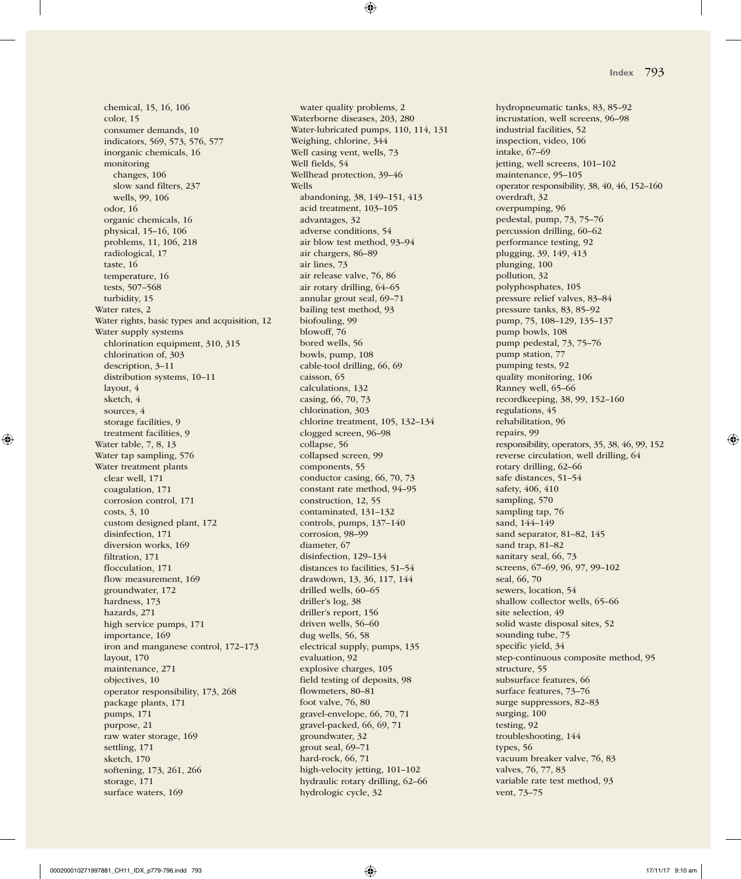chemical, 15, 16, 106 color, 15 consumer demands, 10 indicators, 569, 573, 576, 577 inorganic chemicals, 16 monitoring changes, 106 slow sand filters, 237 wells, 99, 106 odor, 16 organic chemicals, 16 physical, 15–16, 106 problems, 11, 106, 218 radiological, 17 taste, 16 temperature, 16 tests, 507–568 turbidity, 15 Water rates, 2 Water rights, basic types and acquisition, 12 Water supply systems chlorination equipment, 310, 315 chlorination of, 303 description, 3–11 distribution systems, 10–11 layout, 4 sketch, 4 sources, 4 storage facilities, 9 treatment facilities, 9 Water table, 7, 8, 13 Water tap sampling, 576 Water treatment plants clear well, 171 coagulation, 171 corrosion control, 171 costs, 3, 10 custom designed plant, 172 disinfection, 171 diversion works, 169 filtration, 171 flocculation, 171 flow measurement, 169 groundwater, 172 hardness, 173 hazards, 271 high service pumps, 171 importance, 169 iron and manganese control, 172–173 layout, 170 maintenance, 271 objectives, 10 operator responsibility, 173, 268 package plants, 171 pumps, 171 purpose, 21 raw water storage, 169 settling, 171 sketch, 170 softening, 173, 261, 266 storage, 171 surface waters, 169

water quality problems, 2 Waterborne diseases, 203, 280 Water-lubricated pumps, 110, 114, 131 Weighing, chlorine, 344 Well casing vent, wells, 73 Well fields, 54 Wellhead protection, 39–46 Wells abandoning, 38, 149–151, 413 acid treatment, 103–105 advantages, 32 adverse conditions, 54 air blow test method, 93–94 air chargers, 86–89 air lines, 73 air release valve, 76, 86 air rotary drilling, 64–65 annular grout seal, 69–71 bailing test method, 93 biofouling, 99 blowoff, 76 bored wells, 56 bowls, pump, 108 cable-tool drilling, 66, 69 caisson, 65 calculations, 132 casing, 66, 70, 73 chlorination, 303 chlorine treatment, 105, 132–134 clogged screen, 96–98 collapse, 56 collapsed screen, 99 components, 55 conductor casing, 66, 70, 73 constant rate method, 94–95 construction, 12, 55 contaminated, 131–132 controls, pumps, 137–140 corrosion, 98–99 diameter, 67 disinfection, 129–134 distances to facilities, 51–54 drawdown, 13, 36, 117, 144 drilled wells, 60–65 driller's log, 38 driller's report, 156 driven wells, 56–60 dug wells, 56, 58 electrical supply, pumps, 135 evaluation, 92 explosive charges, 105 field testing of deposits, 98 flowmeters, 80–81 foot valve, 76, 80 gravel-envelope, 66, 70, 71 gravel-packed, 66, 69, 71 groundwater, 32 grout seal, 69–71 hard-rock, 66, 71 high-velocity jetting, 101–102 hydraulic rotary drilling, 62–66 hydrologic cycle, 32

hydropneumatic tanks, 83, 85–92 incrustation, well screens, 96–98 industrial facilities, 52 inspection, video, 106 intake, 67–69 jetting, well screens, 101–102 maintenance, 95–105 operator responsibility, 38, 40, 46, 152–160 overdraft, 32 overpumping, 96 pedestal, pump, 73, 75–76 percussion drilling, 60–62 performance testing, 92 plugging, 39, 149, 413 plunging, 100 pollution, 32 polyphosphates, 105 pressure relief valves, 83–84 pressure tanks, 83, 85–92 pump, 75, 108–129, 135–137 pump bowls, 108 pump pedestal, 73, 75–76 pump station, 77 pumping tests, 92 quality monitoring, 106 Ranney well, 65–66 recordkeeping, 38, 99, 152–160 regulations, 45 rehabilitation, 96 repairs, 99 responsibility, operators, 35, 38, 46, 99, 152 reverse circulation, well drilling, 64 rotary drilling, 62–66 safe distances, 51–54 safety, 406, 410 sampling, 570 sampling tap, 76 sand, 144–149 sand separator, 81–82, 145 sand trap, 81–82 sanitary seal, 66, 73 screens, 67–69, 96, 97, 99–102 seal, 66, 70 sewers, location, 54 shallow collector wells, 65–66 site selection, 49 solid waste disposal sites, 52 sounding tube, 75 specific yield, 34 step-continuous composite method, 95 structure, 55 subsurface features, 66 surface features, 73–76 surge suppressors, 82–83 surging, 100 testing, 92 troubleshooting, 144 types, 56 vacuum breaker valve, 76, 83 valves, 76, 77, 83 variable rate test method, 93 vent, 73–75